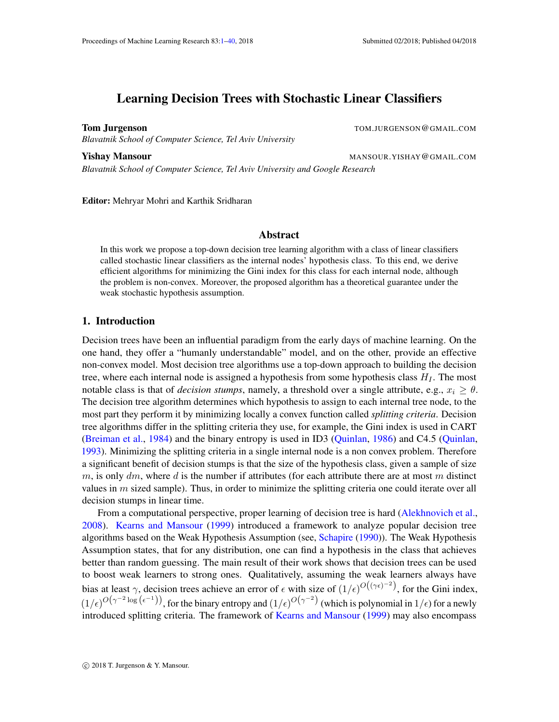# <span id="page-0-0"></span>Learning Decision Trees with Stochastic Linear Classifiers

Tom Jurgenson The Secret of the Secret Assembly to the Secret Assembly to the Secret Assembly to the Secret Assembly to the Secret Assembly to the Secret Assembly to the Secret Assembly to the Secret Assembly to the Secret *Blavatnik School of Computer Science, Tel Aviv University*

**Yishay Mansour MANSOUR. YISHAY @GMAIL.COM** 

*Blavatnik School of Computer Science, Tel Aviv University and Google Research*

Editor: Mehryar Mohri and Karthik Sridharan

## Abstract

In this work we propose a top-down decision tree learning algorithm with a class of linear classifiers called stochastic linear classifiers as the internal nodes' hypothesis class. To this end, we derive efficient algorithms for minimizing the Gini index for this class for each internal node, although the problem is non-convex. Moreover, the proposed algorithm has a theoretical guarantee under the weak stochastic hypothesis assumption.

# 1. Introduction

Decision trees have been an influential paradigm from the early days of machine learning. On the one hand, they offer a "humanly understandable" model, and on the other, provide an effective non-convex model. Most decision tree algorithms use a top-down approach to building the decision tree, where each internal node is assigned a hypothesis from some hypothesis class  $H_I$ . The most notable class is that of *decision stumps*, namely, a threshold over a single attribute, e.g.,  $x_i \ge \theta$ . The decision tree algorithm determines which hypothesis to assign to each internal tree node, to the most part they perform it by minimizing locally a convex function called *splitting criteria*. Decision tree algorithms differ in the splitting criteria they use, for example, the Gini index is used in CART [\(Breiman et al.,](#page-11-0) [1984\)](#page-11-0) and the binary entropy is used in ID3 [\(Quinlan,](#page-11-1) [1986\)](#page-11-1) and C4.5 [\(Quinlan,](#page-11-2) [1993\)](#page-11-2). Minimizing the splitting criteria in a single internal node is a non convex problem. Therefore a significant benefit of decision stumps is that the size of the hypothesis class, given a sample of size  $m$ , is only  $dm$ , where  $d$  is the number if attributes (for each attribute there are at most m distinct values in  $m$  sized sample). Thus, in order to minimize the splitting criteria one could iterate over all decision stumps in linear time.

From a computational perspective, proper learning of decision tree is hard [\(Alekhnovich et al.,](#page-11-3) [2008\)](#page-11-3). [Kearns and Mansour](#page-11-4) [\(1999\)](#page-11-4) introduced a framework to analyze popular decision tree algorithms based on the Weak Hypothesis Assumption (see, [Schapire](#page-11-5) [\(1990\)](#page-11-5)). The Weak Hypothesis Assumption states, that for any distribution, one can find a hypothesis in the class that achieves better than random guessing. The main result of their work shows that decision trees can be used to boost weak learners to strong ones. Qualitatively, assuming the weak learners always have bias at least  $\gamma$ , decision trees achieve an error of  $\epsilon$  with size of  $(1/\epsilon)^{O((\gamma\epsilon)^{-2})}$ , for the Gini index,  $(1/\epsilon)^{O(\gamma^{-2} \log(\epsilon^{-1}))}$ , for the binary entropy and  $(1/\epsilon)^{O(\gamma^{-2})}$  (which is polynomial in  $1/\epsilon$ ) for a newly introduced splitting criteria. The framework of [Kearns and Mansour](#page-11-4) [\(1999\)](#page-11-4) may also encompass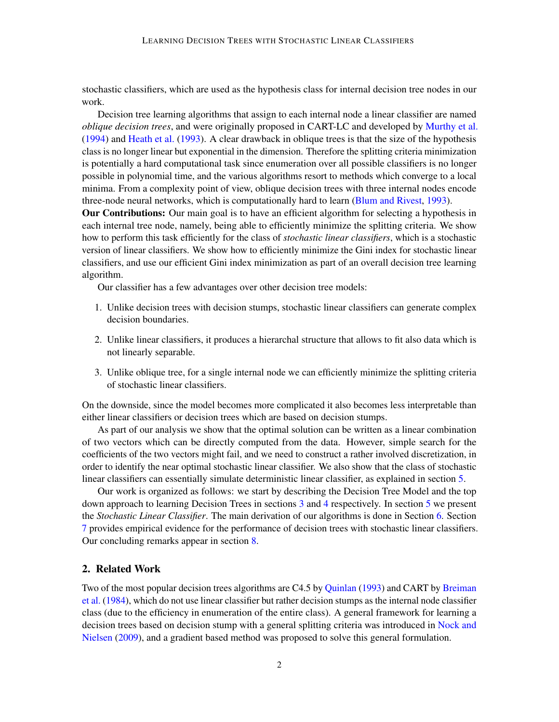stochastic classifiers, which are used as the hypothesis class for internal decision tree nodes in our work.

Decision tree learning algorithms that assign to each internal node a linear classifier are named *oblique decision trees*, and were originally proposed in CART-LC and developed by [Murthy et al.](#page-11-6) [\(1994\)](#page-11-6) and [Heath et al.](#page-11-7) [\(1993\)](#page-11-7). A clear drawback in oblique trees is that the size of the hypothesis class is no longer linear but exponential in the dimension. Therefore the splitting criteria minimization is potentially a hard computational task since enumeration over all possible classifiers is no longer possible in polynomial time, and the various algorithms resort to methods which converge to a local minima. From a complexity point of view, oblique decision trees with three internal nodes encode three-node neural networks, which is computationally hard to learn [\(Blum and Rivest,](#page-11-8) [1993\)](#page-11-8).

Our Contributions: Our main goal is to have an efficient algorithm for selecting a hypothesis in each internal tree node, namely, being able to efficiently minimize the splitting criteria. We show how to perform this task efficiently for the class of *stochastic linear classifiers*, which is a stochastic version of linear classifiers. We show how to efficiently minimize the Gini index for stochastic linear classifiers, and use our efficient Gini index minimization as part of an overall decision tree learning algorithm.

Our classifier has a few advantages over other decision tree models:

- 1. Unlike decision trees with decision stumps, stochastic linear classifiers can generate complex decision boundaries.
- 2. Unlike linear classifiers, it produces a hierarchal structure that allows to fit also data which is not linearly separable.
- 3. Unlike oblique tree, for a single internal node we can efficiently minimize the splitting criteria of stochastic linear classifiers.

On the downside, since the model becomes more complicated it also becomes less interpretable than either linear classifiers or decision trees which are based on decision stumps.

As part of our analysis we show that the optimal solution can be written as a linear combination of two vectors which can be directly computed from the data. However, simple search for the coefficients of the two vectors might fail, and we need to construct a rather involved discretization, in order to identify the near optimal stochastic linear classifier. We also show that the class of stochastic linear classifiers can essentially simulate deterministic linear classifier, as explained in section [5.](#page-4-0)

Our work is organized as follows: we start by describing the Decision Tree Model and the top down approach to learning Decision Trees in sections [3](#page-2-0) and [4](#page-3-0) respectively. In section [5](#page-4-0) we present the *Stochastic Linear Classifier*. The main derivation of our algorithms is done in Section [6.](#page-5-0) Section [7](#page-8-0) provides empirical evidence for the performance of decision trees with stochastic linear classifiers. Our concluding remarks appear in section [8.](#page-10-0)

# 2. Related Work

Two of the most popular decision trees algorithms are C4.5 by [Quinlan](#page-11-2) [\(1993\)](#page-11-2) and CART by [Breiman](#page-11-0) [et al.](#page-11-0) [\(1984\)](#page-11-0), which do not use linear classifier but rather decision stumps as the internal node classifier class (due to the efficiency in enumeration of the entire class). A general framework for learning a decision trees based on decision stump with a general splitting criteria was introduced in [Nock and](#page-11-9) [Nielsen](#page-11-9) [\(2009\)](#page-11-9), and a gradient based method was proposed to solve this general formulation.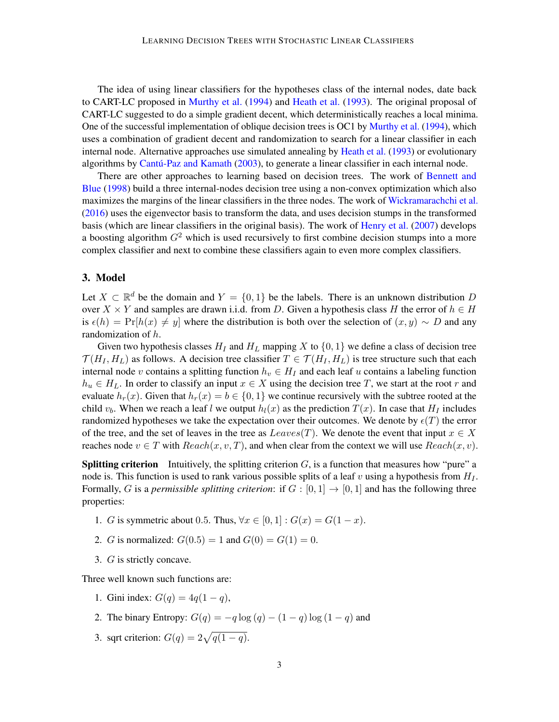The idea of using linear classifiers for the hypotheses class of the internal nodes, date back to CART-LC proposed in [Murthy et al.](#page-11-6) [\(1994\)](#page-11-6) and [Heath et al.](#page-11-7) [\(1993\)](#page-11-7). The original proposal of CART-LC suggested to do a simple gradient decent, which deterministically reaches a local minima. One of the successful implementation of oblique decision trees is OC1 by [Murthy et al.](#page-11-6) [\(1994\)](#page-11-6), which uses a combination of gradient decent and randomization to search for a linear classifier in each internal node. Alternative approaches use simulated annealing by [Heath et al.](#page-11-7) [\(1993\)](#page-11-7) or evolutionary algorithms by [Cantú-Paz and Kamath](#page-11-10) [\(2003\)](#page-11-10), to generate a linear classifier in each internal node.

There are other approaches to learning based on decision trees. The work of [Bennett and](#page-11-11) [Blue](#page-11-11) [\(1998\)](#page-11-11) build a three internal-nodes decision tree using a non-convex optimization which also maximizes the margins of the linear classifiers in the three nodes. The work of [Wickramarachchi et al.](#page-11-12) [\(2016\)](#page-11-12) uses the eigenvector basis to transform the data, and uses decision stumps in the transformed basis (which are linear classifiers in the original basis). The work of [Henry et al.](#page-11-13) [\(2007\)](#page-11-13) develops a boosting algorithm  $G<sup>2</sup>$  which is used recursively to first combine decision stumps into a more complex classifier and next to combine these classifiers again to even more complex classifiers.

# <span id="page-2-0"></span>3. Model

Let  $X \subset \mathbb{R}^d$  be the domain and  $Y = \{0, 1\}$  be the labels. There is an unknown distribution D over  $X \times Y$  and samples are drawn i.i.d. from D. Given a hypothesis class H the error of  $h \in H$ is  $\epsilon(h) = Pr[h(x) \neq y]$  where the distribution is both over the selection of  $(x, y) \sim D$  and any randomization of h.

Given two hypothesis classes  $H_I$  and  $H_L$  mapping X to  $\{0, 1\}$  we define a class of decision tree  $\mathcal{T}(H_I, H_L)$  as follows. A decision tree classifier  $T \in \mathcal{T}(H_I, H_L)$  is tree structure such that each internal node v contains a splitting function  $h_v \in H_I$  and each leaf u contains a labeling function  $h_u \in H_L$ . In order to classify an input  $x \in X$  using the decision tree T, we start at the root r and evaluate  $h_r(x)$ . Given that  $h_r(x) = b \in \{0, 1\}$  we continue recursively with the subtree rooted at the child  $v<sub>b</sub>$ . When we reach a leaf l we output  $h<sub>l</sub>(x)$  as the prediction  $T(x)$ . In case that  $H<sub>I</sub>$  includes randomized hypotheses we take the expectation over their outcomes. We denote by  $\epsilon(T)$  the error of the tree, and the set of leaves in the tree as  $Leaves(T)$ . We denote the event that input  $x \in X$ reaches node  $v \in T$  with  $Reach(x, v, T)$ , and when clear from the context we will use  $Reach(x, v)$ .

**Splitting criterion** Intuitively, the splitting criterion  $G$ , is a function that measures how "pure" a node is. This function is used to rank various possible splits of a leaf v using a hypothesis from  $H<sub>I</sub>$ . Formally, G is a *permissible splitting criterion*: if  $G : [0,1] \rightarrow [0,1]$  and has the following three properties:

- 1. G is symmetric about 0.5. Thus,  $\forall x \in [0,1]: G(x) = G(1-x)$ .
- 2. *G* is normalized:  $G(0.5) = 1$  and  $G(0) = G(1) = 0$ .
- 3. G is strictly concave.

Three well known such functions are:

- 1. Gini index:  $G(q) = 4q(1 q)$ ,
- 2. The binary Entropy:  $G(q) = -q \log(q) (1 q) \log(1 q)$  and
- 3. sqrt criterion:  $G(q) = 2\sqrt{q(1-q)}$ .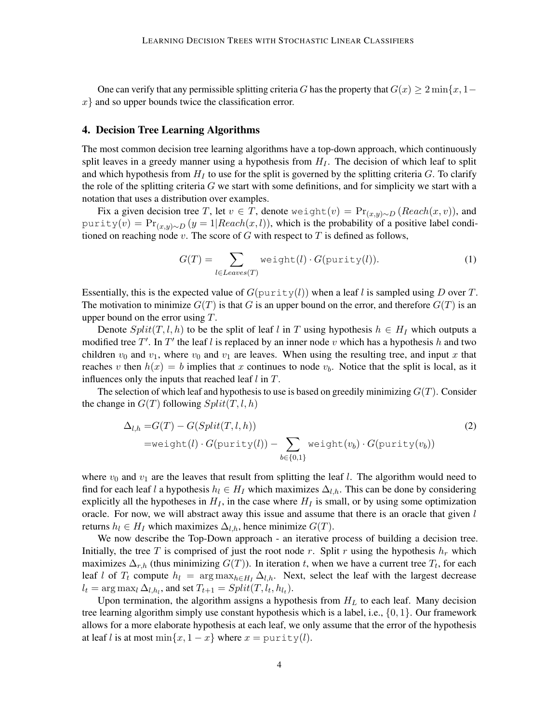One can verify that any permissible splitting criteria G has the property that  $G(x) \geq 2 \min\{x, 1-\}$  $x$ } and so upper bounds twice the classification error.

## <span id="page-3-0"></span>4. Decision Tree Learning Algorithms

The most common decision tree learning algorithms have a top-down approach, which continuously split leaves in a greedy manner using a hypothesis from  $H_I$ . The decision of which leaf to split and which hypothesis from  $H_I$  to use for the split is governed by the splitting criteria  $G$ . To clarify the role of the splitting criteria  $G$  we start with some definitions, and for simplicity we start with a notation that uses a distribution over examples.

Fix a given decision tree T, let  $v \in T$ , denote weight $(v) = Pr_{(x,y)\sim D}$  (Reach(x, v)), and purity(v) =  $Pr_{(x,y)\sim D} (y=1|Reach(x,l))$ , which is the probability of a positive label conditioned on reaching node v. The score of  $G$  with respect to  $T$  is defined as follows,

<span id="page-3-2"></span><span id="page-3-1"></span>
$$
G(T) = \sum_{l \in Leaves(T)} \text{weight}(l) \cdot G(\text{purity}(l)).\tag{1}
$$

Essentially, this is the expected value of  $G(\text{purity}(l))$  when a leaf l is sampled using D over T. The motivation to minimize  $G(T)$  is that G is an upper bound on the error, and therefore  $G(T)$  is an upper bound on the error using T.

Denote  $Split(T, l, h)$  to be the split of leaf l in T using hypothesis  $h \in H_I$  which outputs a modified tree  $T'$ . In  $T'$  the leaf l is replaced by an inner node v which has a hypothesis h and two children  $v_0$  and  $v_1$ , where  $v_0$  and  $v_1$  are leaves. When using the resulting tree, and input x that reaches v then  $h(x) = b$  implies that x continues to node  $v<sub>b</sub>$ . Notice that the split is local, as it influences only the inputs that reached leaf  $l$  in  $T$ .

The selection of which leaf and hypothesis to use is based on greedily minimizing  $G(T)$ . Consider the change in  $G(T)$  following  $Split(T, l, h)$ 

$$
\Delta_{l,h} = G(T) - G(Split(T,l,h))
$$
\n
$$
= \text{weight}(l) \cdot G(\text{purity}(l)) - \sum_{b \in \{0,1\}} \text{weight}(v_b) \cdot G(\text{purity}(v_b))
$$
\n(2)

where  $v_0$  and  $v_1$  are the leaves that result from splitting the leaf l. The algorithm would need to find for each leaf l a hypothesis  $h_l \in H_I$  which maximizes  $\Delta_{l,h}$ . This can be done by considering explicitly all the hypotheses in  $H_I$ , in the case where  $H_I$  is small, or by using some optimization oracle. For now, we will abstract away this issue and assume that there is an oracle that given  $l$ returns  $h_l \in H_I$  which maximizes  $\Delta_{l,h}$ , hence minimize  $G(T)$ .

We now describe the Top-Down approach - an iterative process of building a decision tree. Initially, the tree T is comprised of just the root node r. Split r using the hypothesis  $h_r$  which maximizes  $\Delta_{r,h}$  (thus minimizing  $G(T)$ ). In iteration t, when we have a current tree  $T_t$ , for each leaf l of  $T_t$  compute  $h_l = \arg \max_{h \in H_l} \Delta_{l,h}$ . Next, select the leaf with the largest decrease  $l_t = \arg \max_l \Delta_{l,h_l}$ , and set  $T_{t+1} = Split(T, l_t, h_{l_t})$ .

Upon termination, the algorithm assigns a hypothesis from  $H_L$  to each leaf. Many decision tree learning algorithm simply use constant hypothesis which is a label, i.e.,  $\{0, 1\}$ . Our framework allows for a more elaborate hypothesis at each leaf, we only assume that the error of the hypothesis at leaf l is at most min $\{x, 1 - x\}$  where  $x = \text{purity}(l)$ .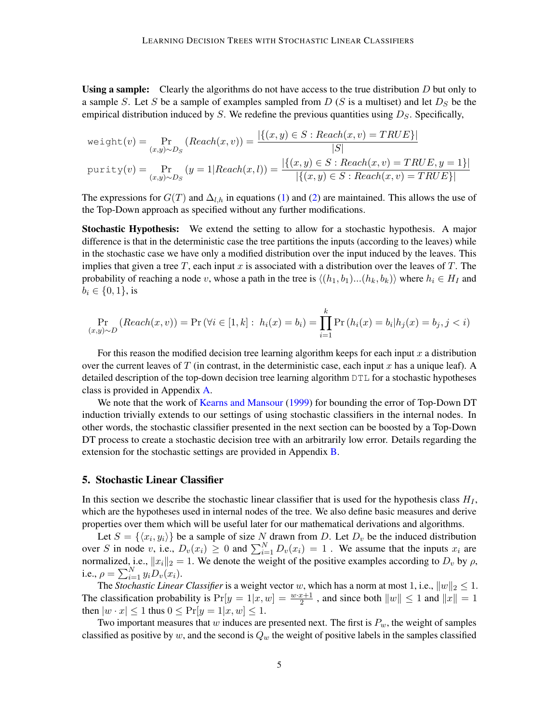**Using a sample:** Clearly the algorithms do not have access to the true distribution  $D$  but only to a sample S. Let S be a sample of examples sampled from  $D(S)$  is a multiset) and let  $D_S$  be the empirical distribution induced by S. We redefine the previous quantities using  $D<sub>S</sub>$ . Specifically,

$$
\text{weight}(v) = \Pr_{(x,y)\sim D_S} (\text{Reach}(x, v)) = \frac{|\{(x,y)\in S : \text{Reach}(x, v) = TRUE\}|}{|S|}
$$
\n
$$
\text{purity}(v) = \Pr_{(x,y)\sim D_S} (y = 1 | \text{Reach}(x, l)) = \frac{|\{(x,y)\in S : \text{Reach}(x, v) = TRUE, y = 1\}|}{|\{(x,y)\in S : \text{Reach}(x, v) = TRUE\}|}
$$

The expressions for  $G(T)$  and  $\Delta_{l,h}$  in equations [\(1\)](#page-3-1) and [\(2\)](#page-3-2) are maintained. This allows the use of the Top-Down approach as specified without any further modifications.

Stochastic Hypothesis: We extend the setting to allow for a stochastic hypothesis. A major difference is that in the deterministic case the tree partitions the inputs (according to the leaves) while in the stochastic case we have only a modified distribution over the input induced by the leaves. This implies that given a tree  $T$ , each input  $x$  is associated with a distribution over the leaves of  $T$ . The probability of reaching a node v, whose a path in the tree is  $\langle (h_1, b_1)...(h_k, b_k)\rangle$  where  $h_i \in H_I$  and  $b_i \in \{0, 1\},\$ is

$$
\Pr_{(x,y)\sim D} \left( \text{Reach}(x, v) \right) = \Pr \left( \forall i \in [1, k] : h_i(x) = b_i \right) = \prod_{i=1}^k \Pr \left( h_i(x) = b_i | h_j(x) = b_j, j < i \right)
$$

For this reason the modified decision tree learning algorithm keeps for each input  $x$  a distribution over the current leaves of T (in contrast, in the deterministic case, each input x has a unique leaf). A detailed description of the top-down decision tree learning algorithm DTL for a stochastic hypotheses class is provided in Appendix [A.](#page-12-0)

We note that the work of [Kearns and Mansour](#page-11-4) [\(1999\)](#page-11-4) for bounding the error of Top-Down DT induction trivially extends to our settings of using stochastic classifiers in the internal nodes. In other words, the stochastic classifier presented in the next section can be boosted by a Top-Down DT process to create a stochastic decision tree with an arbitrarily low error. Details regarding the extension for the stochastic settings are provided in Appendix [B.](#page-12-1)

### <span id="page-4-0"></span>5. Stochastic Linear Classifier

In this section we describe the stochastic linear classifier that is used for the hypothesis class  $H_I$ , which are the hypotheses used in internal nodes of the tree. We also define basic measures and derive properties over them which will be useful later for our mathematical derivations and algorithms.

Let  $S = \{ \langle x_i, y_i \rangle \}$  be a sample of size N drawn from D. Let  $D_v$  be the induced distribution over S in node v, i.e.,  $D_v(x_i) \geq 0$  and  $\sum_{i=1}^{N} D_v(x_i) = 1$ . We assume that the inputs  $x_i$  are normalized, i.e.,  $||x_i||_2 = 1$ . We denote the weight of the positive examples according to  $D_v$  by  $\rho$ , i.e.,  $\rho = \sum_{i=1}^{N} y_i D_v(x_i)$ .

The *Stochastic Linear Classifier* is a weight vector w, which has a norm at most 1, i.e.,  $||w||_2 \leq 1$ . The classification probability is  $Pr[y = 1|x, w] = \frac{w \cdot x + 1}{2}$ , and since both  $||w|| \le 1$  and  $||x|| = 1$ then  $|w \cdot x| \leq 1$  thus  $0 \leq \Pr[y = 1 | x, w] \leq 1$ .

Two important measures that w induces are presented next. The first is  $P_w$ , the weight of samples classified as positive by w, and the second is  $Q_w$  the weight of positive labels in the samples classified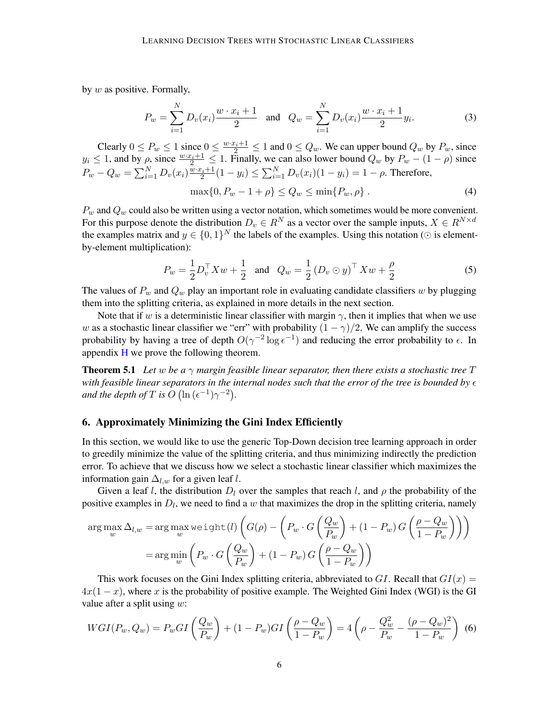by  $w$  as positive. Formally,

$$
P_w = \sum_{i=1}^{N} D_v(x_i) \frac{w \cdot x_i + 1}{2} \quad \text{and} \quad Q_w = \sum_{i=1}^{N} D_v(x_i) \frac{w \cdot x_i + 1}{2} y_i.
$$
 (3)

Clearly  $0 \le P_w \le 1$  since  $0 \le \frac{w \cdot x_i + 1}{2} \le 1$  and  $0 \le Q_w$ . We can upper bound  $Q_w$  by  $P_w$ , since  $y_i \leq 1$ , and by  $\rho$ , since  $\frac{w \cdot x_i + 1}{2} \leq 1$ . Finally, we can also lower bound  $Q_w$  by  $P_w - (1 - \rho)$  since  $P_w - Q_w = \sum_{i=1}^{N} D_v(x_i) \frac{w \cdot x_i + 1}{2} (1 - y_i) \le \sum_{i=1}^{N} D_v(x_i) (1 - y_i) = 1 - \rho$ . Therefore,

<span id="page-5-2"></span>
$$
\max\{0, P_w - 1 + \rho\} \le Q_w \le \min\{P_w, \rho\} \,. \tag{4}
$$

 $P_w$  and  $Q_w$  could also be written using a vector notation, which sometimes would be more convenient. For this purpose denote the distribution  $D_v \in R^N$  as a vector over the sample inputs,  $X \in R^{N \times d}$ the examples matrix and  $y \in \{0,1\}^N$  the labels of the examples. Using this notation ( $\odot$  is elementby-element multiplication):

$$
P_w = \frac{1}{2} D_v^{\top} X w + \frac{1}{2} \text{ and } Q_w = \frac{1}{2} (D_v \odot y)^{\top} X w + \frac{\rho}{2}
$$
 (5)

The values of  $P_w$  and  $Q_w$  play an important role in evaluating candidate classifiers w by plugging them into the splitting criteria, as explained in more details in the next section.

Note that if w is a deterministic linear classifier with margin  $\gamma$ , then it implies that when we use w as a stochastic linear classifier we "err" with probability  $(1 - \gamma)/2$ . We can amplify the success probability by having a tree of depth  $O(\gamma^{-2} \log \epsilon^{-1})$  and reducing the error probability to  $\epsilon$ . In appendix [H](#page-34-0) we prove the following theorem.

**Theorem 5.1** Let w be a  $\gamma$  margin feasible linear separator, then there exists a stochastic tree  $T$ with feasible linear separators in the internal nodes such that the error of the tree is bounded by  $\epsilon$ *and the depth of*  $T$  *is*  $O(\ln{(\epsilon^{-1})\gamma^{-2}})$ *.* 

### <span id="page-5-0"></span>6. Approximately Minimizing the Gini Index Efficiently

In this section, we would like to use the generic Top-Down decision tree learning approach in order to greedily minimize the value of the splitting criteria, and thus minimizing indirectly the prediction error. To achieve that we discuss how we select a stochastic linear classifier which maximizes the information gain  $\Delta_{l,w}$  for a given leaf l.

Given a leaf l, the distribution  $D_l$  over the samples that reach l, and  $\rho$  the probability of the positive examples in  $D_l$ , we need to find a w that maximizes the drop in the splitting criteria, namely

$$
\arg \max_{w} \Delta_{l,w} = \arg \max_{w} \text{weight}(l) \left( G(\rho) - \left( P_w \cdot G \left( \frac{Q_w}{P_w} \right) + (1 - P_w) G \left( \frac{\rho - Q_w}{1 - P_w} \right) \right) \right)
$$

$$
= \arg \min_{w} \left( P_w \cdot G \left( \frac{Q_w}{P_w} \right) + (1 - P_w) G \left( \frac{\rho - Q_w}{1 - P_w} \right) \right)
$$

This work focuses on the Gini Index splitting criteria, abbreviated to GI. Recall that  $GI(x) =$  $4x(1-x)$ , where x is the probability of positive example. The Weighted Gini Index (WGI) is the GI value after a split using  $w$ :

<span id="page-5-1"></span>
$$
WGI(P_w, Q_w) = P_wGI\left(\frac{Q_w}{P_w}\right) + (1 - P_w)GI\left(\frac{\rho - Q_w}{1 - P_w}\right) = 4\left(\rho - \frac{Q_w^2}{P_w} - \frac{(\rho - Q_w)^2}{1 - P_w}\right) \tag{6}
$$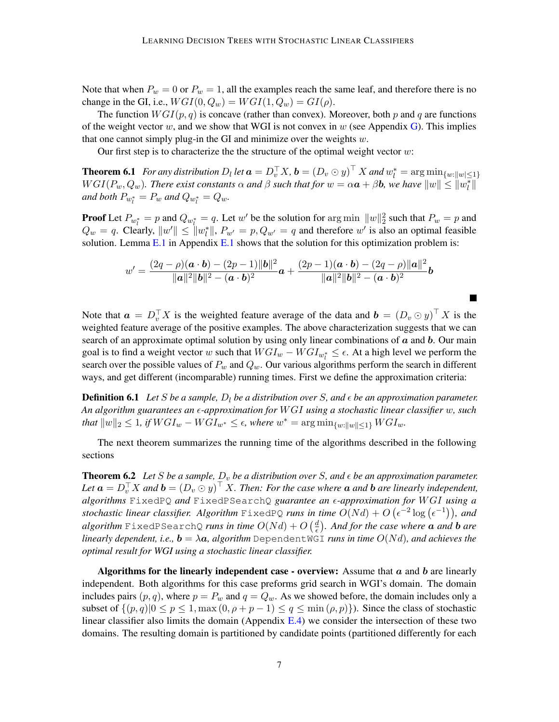Note that when  $P_w = 0$  or  $P_w = 1$ , all the examples reach the same leaf, and therefore there is no change in the GI, i.e.,  $WGI(0, Q_w) = WGI(1, Q_w) = GI(\rho)$ .

The function  $WGI(p, q)$  is concave (rather than convex). Moreover, both p and q are functions of the weight vector w, and we show that WGI is not convex in w (see Appendix [G\)](#page-33-0). This implies that one cannot simply plug-in the GI and minimize over the weights  $w$ .

Our first step is to characterize the the structure of the optimal weight vector  $w$ :

**Theorem 6.1** For any distribution  $D_l$  let  $\mathbf{a} = D_v^{\top}X$ ,  $\mathbf{b} = (D_v \odot y)^{\top} X$  and  $w_l^* = \arg \min_{\{w : ||w| \leq 1\}}$  $WGI(P_w,Q_w)$ . There exist constants  $\alpha$  and  $\beta$  such that for  $w=\alpha \bm{a}+\beta \bm{b}$ , we have  $\|w\|\leq \|w^*_l\|$ and both  $P_{w_l^*} = P_w$  and  $Q_{w_l^*} = Q_w$ .

**Proof** Let  $P_{w_l^*} = p$  and  $Q_{w_l^*} = q$ . Let w' be the solution for arg min  $||w||_2^2$  such that  $P_w = p$  and  $Q_w = q$ . Clearly,  $||w'|| \le ||w_l^*||$ ,  $P_{w'} = p$ ,  $Q_{w'} = q$  and therefore w' is also an optimal feasible solution. Lemma  $E \sim 1$  in Appendix [E.1](#page-22-1) shows that the solution for this optimization problem is:

$$
w' = \frac{(2q - \rho)(\mathbf{a} \cdot \mathbf{b}) - (2p - 1)||\mathbf{b}||^2}{\|\mathbf{a}\|^2 \|\mathbf{b}\|^2 - (\mathbf{a} \cdot \mathbf{b})^2} \mathbf{a} + \frac{(2p - 1)(\mathbf{a} \cdot \mathbf{b}) - (2q - \rho)||\mathbf{a}||^2}{\|\mathbf{a}\|^2 \|\mathbf{b}\|^2 - (\mathbf{a} \cdot \mathbf{b})^2} \mathbf{b}
$$

<span id="page-6-0"></span> $\blacksquare$ 

Note that  $a = D_v^{\top} X$  is the weighted feature average of the data and  $b = (D_v \odot y)^{\top} X$  is the weighted feature average of the positive examples. The above characterization suggests that we can search of an approximate optimal solution by using only linear combinations of  $a$  and  $b$ . Our main goal is to find a weight vector w such that  $WGI_w - WGI_{w_i^*} \leq \epsilon$ . At a high level we perform the search over the possible values of  $P_w$  and  $Q_w$ . Our various algorithms perform the search in different ways, and get different (incomparable) running times. First we define the approximation criteria:

**Definition 6.1** Let S be a sample,  $D_l$  be a distribution over S, and  $\epsilon$  be an approximation parameter. *An algorithm guarantees an -approximation for* W GI *using a stochastic linear classifier* w*, such that*  $||w||_2 ≤ 1$ *, if*  $WGI_w - WGI_{w^*} ≤ ε$ *, where*  $w^* = \arg \min_{\{w: ||w|| ≤ 1\}} WGI_w$ *.* 

<span id="page-6-1"></span>The next theorem summarizes the running time of the algorithms described in the following sections

**Theorem 6.2** Let S be a sample,  $D_v$  be a distribution over S, and  $\epsilon$  be an approximation parameter. Let  $\bm{a} = D_v^{\top} X$  and  $\bm{b} = (D_v \odot y)^{\top} X$ . Then: For the case where  $\bm{a}$  and  $\bm{b}$  are linearly independent, *algorithms* FixedPQ *and* FixedPSearchQ *guarantee an -approximation for* W GI *using a* stochastic linear classifier. Algorithm  $\text{FixedPQ}$  runs in time  $O(Nd) + O\left(\epsilon^{-2}\log\left(\epsilon^{-1}\right)\right)$ , and  $algorithm$  FixedPSearchQ *runs in time*  $O(Nd) + O\left(\frac{d}{\epsilon}\right)$  *. And for the case where* a *and* b *are linearly dependent, i.e.,*  $\mathbf{b} = \lambda \mathbf{a}$ *, algorithm* Dependent WGI *runs in time*  $O(Nd)$ *, and achieves the optimal result for WGI using a stochastic linear classifier.*

Algorithms for the linearly independent case - overview: Assume that  $a$  and  $b$  are linearly independent. Both algorithms for this case preforms grid search in WGI's domain. The domain includes pairs  $(p, q)$ , where  $p = P_w$  and  $q = Q_w$ . As we showed before, the domain includes only a subset of  $\{(p,q)|0 \leq p \leq 1, \max(0, \rho + p - 1) \leq q \leq \min(\rho, p)\}\)$ . Since the class of stochastic linear classifier also limits the domain (Appendix [E.4\)](#page-27-0) we consider the intersection of these two domains. The resulting domain is partitioned by candidate points (partitioned differently for each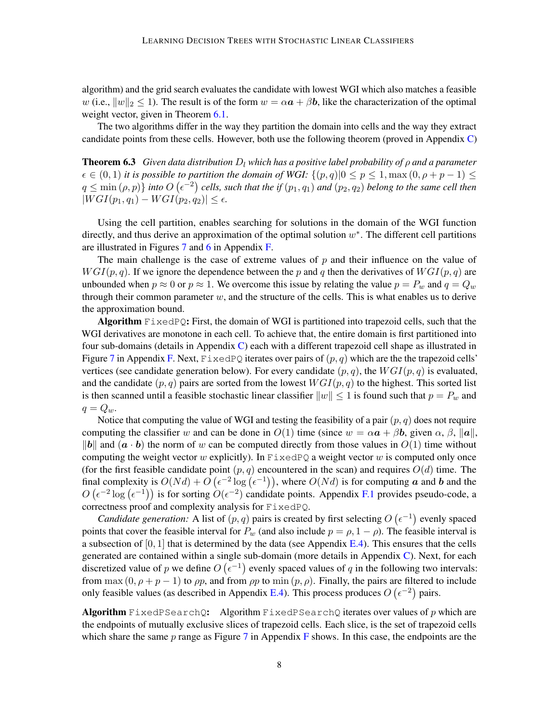algorithm) and the grid search evaluates the candidate with lowest WGI which also matches a feasible w (i.e.,  $||w||_2 \le 1$ ). The result is of the form  $w = \alpha a + \beta b$ , like the characterization of the optimal weight vector, given in Theorem [6.1.](#page-6-0)

The two algorithms differ in the way they partition the domain into cells and the way they extract candidate points from these cells. However, both use the following theorem (proved in Appendix [C\)](#page-15-0)

**Theorem 6.3** *Given data distribution*  $D_l$  *which has a positive label probability of*  $\rho$  *and a parameter*  $\epsilon \in (0,1)$  *it is possible to partition the domain of WGI:*  $\{(p,q)|0 \leq p \leq 1, \max(0, \rho + p - 1) \leq p \leq 1\}$  $q \leq \min(\rho, p) \}$  into  $O(\epsilon^{-2})$  cells, such that the if  $(p_1, q_1)$  and  $(p_2, q_2)$  belong to the same cell then  $|WGI(p_1, q_1) - WGI(p_2, q_2)| \leq \epsilon.$ 

Using the cell partition, enables searching for solutions in the domain of the WGI function directly, and thus derive an approximation of the optimal solution  $w^*$ . The different cell partitions are illustrated in Figures [7](#page-28-0) and [6](#page-28-1) in Appendix [F.](#page-28-2)

The main challenge is the case of extreme values of  $p$  and their influence on the value of  $WGI(p, q)$ . If we ignore the dependence between the p and q then the derivatives of  $WGI(p, q)$  are unbounded when  $p \approx 0$  or  $p \approx 1$ . We overcome this issue by relating the value  $p = P_w$  and  $q = Q_w$ through their common parameter  $w$ , and the structure of the cells. This is what enables us to derive the approximation bound.

Algorithm  $FixedPQ$ : First, the domain of WGI is partitioned into trapezoid cells, such that the WGI derivatives are monotone in each cell. To achieve that, the entire domain is first partitioned into four sub-domains (details in Appendix  $C$ ) each with a different trapezoid cell shape as illustrated in Figure [7](#page-28-0) in Appendix [F.](#page-28-2) Next,  $\text{FixedPQ}$  iterates over pairs of  $(p, q)$  which are the the trapezoid cells' vertices (see candidate generation below). For every candidate  $(p, q)$ , the  $WGI(p, q)$  is evaluated, and the candidate  $(p, q)$  pairs are sorted from the lowest  $WGI(p, q)$  to the highest. This sorted list is then scanned until a feasible stochastic linear classifier  $||w|| \le 1$  is found such that  $p = P_w$  and  $q = Q_w$ .

Notice that computing the value of WGI and testing the feasibility of a pair  $(p, q)$  does not require computing the classifier w and can be done in  $O(1)$  time (since  $w = \alpha a + \beta b$ , given  $\alpha, \beta, ||a||$ , ||b|| and  $(a \cdot b)$  the norm of w can be computed directly from those values in  $O(1)$  time without computing the weight vector w explicitly). In  $FixedPQ$  a weight vector w is computed only once (for the first feasible candidate point  $(p, q)$  encountered in the scan) and requires  $O(d)$  time. The final complexity is  $O(Nd) + O(\epsilon^{-2} \log(\epsilon^{-1}))$ , where  $O(Nd)$  is for computing a and b and the  $O(\epsilon^{-2} \log(\epsilon^{-1}))$  is for sorting  $O(\epsilon^{-2})$  candidate points. Appendix [F.1](#page-28-3) provides pseudo-code, a correctness proof and complexity analysis for FixedPQ.

*Candidate generation:* A list of  $(p, q)$  pairs is created by first selecting  $O(\epsilon^{-1})$  evenly spaced points that cover the feasible interval for  $P_w$  (and also include  $p = \rho, 1 - \rho$ ). The feasible interval is a subsection of  $[0, 1]$  that is determined by the data (see Appendix [E.4\)](#page-27-0). This ensures that the cells generated are contained within a single sub-domain (more details in Appendix [C\)](#page-15-0). Next, for each discretized value of p we define  $O(\epsilon^{-1})$  evenly spaced values of q in the following two intervals: from max  $(0, \rho + p - 1)$  to  $\rho p$ , and from  $\rho p$  to min  $(p, \rho)$ . Finally, the pairs are filtered to include only feasible values (as described in Appendix [E.4\)](#page-27-0). This process produces  $O(\epsilon^{-2})$  pairs.

Algorithm FixedPSearchQ: Algorithm FixedPSearchQ iterates over values of p which are the endpoints of mutually exclusive slices of trapezoid cells. Each slice, is the set of trapezoid cells which share the same  $p$  range as Figure [7](#page-28-0) in Appendix [F](#page-28-2) shows. In this case, the endpoints are the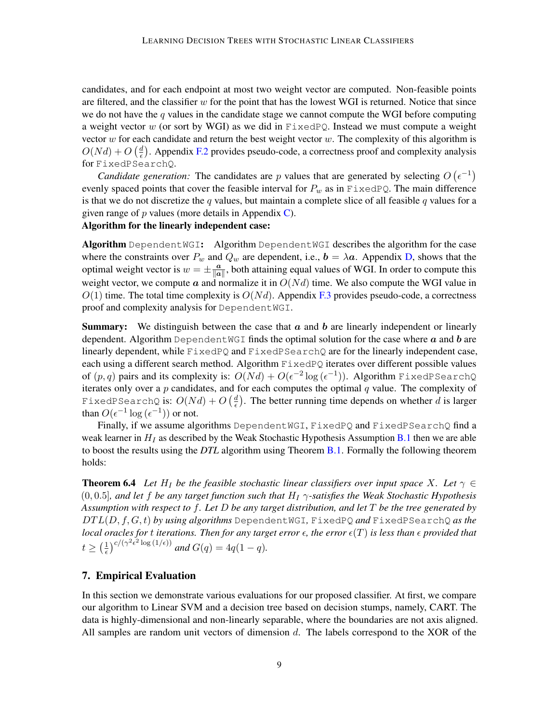candidates, and for each endpoint at most two weight vector are computed. Non-feasible points are filtered, and the classifier  $w$  for the point that has the lowest WGI is returned. Notice that since we do not have the  $q$  values in the candidate stage we cannot compute the WGI before computing a weight vector w (or sort by WGI) as we did in  $FixedPQ$ . Instead we must compute a weight vector  $w$  for each candidate and return the best weight vector  $w$ . The complexity of this algorithm is  $O(N d) + O\left(\frac{d}{\epsilon}\right)$  $\frac{d}{\epsilon}$ ). Appendix [F.2](#page-31-0) provides pseudo-code, a correctness proof and complexity analysis for FixedPSearchQ.

*Candidate generation:* The candidates are p values that are generated by selecting  $O(\epsilon^{-1})$ evenly spaced points that cover the feasible interval for  $P_w$  as in FixedPQ. The main difference is that we do not discretize the q values, but maintain a complete slice of all feasible q values for a given range of  $p$  values (more details in Appendix [C\)](#page-15-0).

# Algorithm for the linearly independent case:

Algorithm Dependent WGI: Algorithm Dependent WGI describes the algorithm for the case where the constraints over  $P_w$  and  $Q_w$  are dependent, i.e.,  $\mathbf{b} = \lambda \mathbf{a}$ . Appendix [D,](#page-21-0) shows that the optimal weight vector is  $w = \pm \frac{a}{\ln a}$  $\frac{a}{\|a\|}$ , both attaining equal values of WGI. In order to compute this weight vector, we compute a and normalize it in  $O(N_d)$  time. We also compute the WGI value in  $O(1)$  time. The total time complexity is  $O(N_d)$ . Appendix [F.3](#page-33-1) provides pseudo-code, a correctness proof and complexity analysis for DependentWGI.

**Summary:** We distinguish between the case that  $\alpha$  and  $\beta$  are linearly independent or linearly dependent. Algorithm Dependent WGI finds the optimal solution for the case where  $\alpha$  and  $\delta$  are linearly dependent, while  $FixedPQ$  and  $FixedPSearchQ$  are for the linearly independent case, each using a different search method. Algorithm FixedPQ iterates over different possible values of  $(p,q)$  pairs and its complexity is:  $O(Nd) + O(\epsilon^{-2}\log{(\epsilon^{-1})})$ . Algorithm FixedPSearchQ iterates only over a  $p$  candidates, and for each computes the optimal  $q$  value. The complexity of FixedPSearchQ is:  $O(Nd) + O\left(\frac{d}{\epsilon}\right)$  $\frac{d}{\epsilon}$ ). The better running time depends on whether d is larger than  $O(\epsilon^{-1} \log(\epsilon^{-1}))$  or not.

Finally, if we assume algorithms DependentWGI, FixedPQ and FixedPSearchQ find a weak learner in  $H_I$  as described by the Weak Stochastic Hypothesis Assumption [B.1](#page-12-2) then we are able to boost the results using the *DTL* algorithm using Theorem [B.1.](#page-12-3) Formally the following theorem holds:

**Theorem 6.4** Let  $H_I$  be the feasible stochastic linear classifiers over input space X. Let  $\gamma \in$ (0, 0.5]*, and let* f *be any target function such that* H<sup>I</sup> γ*-satisfies the Weak Stochastic Hypothesis Assumption with respect to* f*. Let* D *be any target distribution, and let* T *be the tree generated by* DT L(D, f, G, t) *by using algorithms* DependentWGI*,* FixedPQ *and* FixedPSearchQ *as the local oracles for t iterations. Then for any target error*  $\epsilon$ , the error  $\epsilon(T)$  is less than  $\epsilon$  provided that  $t \geq \left(\frac{1}{\epsilon}\right)$  $\frac{1}{\epsilon}$ )<sup>c</sup>/( $\gamma^2 \epsilon^2 \log{(1/\epsilon)}$ ) and  $G(q) = 4q(1-q)$ .

## <span id="page-8-0"></span>7. Empirical Evaluation

In this section we demonstrate various evaluations for our proposed classifier. At first, we compare our algorithm to Linear SVM and a decision tree based on decision stumps, namely, CART. The data is highly-dimensional and non-linearly separable, where the boundaries are not axis aligned. All samples are random unit vectors of dimension  $d$ . The labels correspond to the XOR of the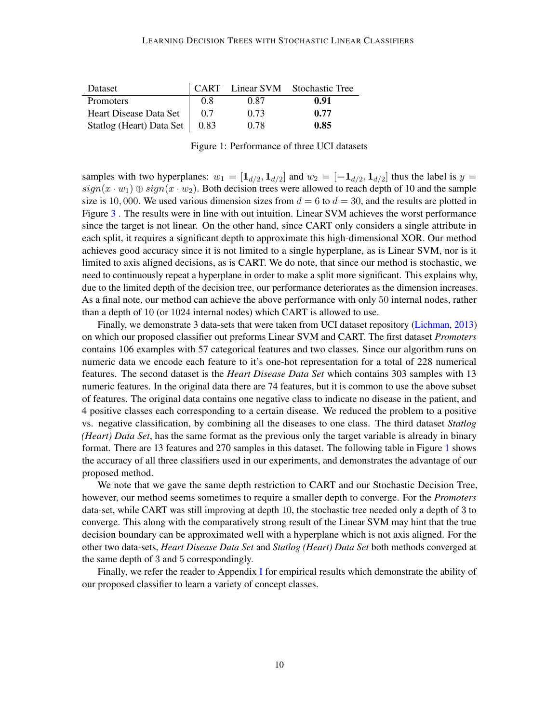| Dataset                         |     |      | CART Linear SVM Stochastic Tree |
|---------------------------------|-----|------|---------------------------------|
| Promoters                       | 0.8 | 0.87 | 0.91                            |
| Heart Disease Data Set          | 0.7 | 0.73 | 0.77                            |
| Statlog (Heart) Data Set   0.83 |     | 0.78 | 0.85                            |

<span id="page-9-0"></span>Figure 1: Performance of three UCI datasets

samples with two hyperplanes:  $w_1 = [\mathbf{1}_{d/2}, \mathbf{1}_{d/2}]$  and  $w_2 = [-\mathbf{1}_{d/2}, \mathbf{1}_{d/2}]$  thus the label is  $y =$  $sign(x \cdot w_1) \oplus sign(x \cdot w_2)$ . Both decision trees were allowed to reach depth of 10 and the sample size is 10,000. We used various dimension sizes from  $d = 6$  to  $d = 30$ , and the results are plotted in Figure [3](#page-10-1) . The results were in line with out intuition. Linear SVM achieves the worst performance since the target is not linear. On the other hand, since CART only considers a single attribute in each split, it requires a significant depth to approximate this high-dimensional XOR. Our method achieves good accuracy since it is not limited to a single hyperplane, as is Linear SVM, nor is it limited to axis aligned decisions, as is CART. We do note, that since our method is stochastic, we need to continuously repeat a hyperplane in order to make a split more significant. This explains why, due to the limited depth of the decision tree, our performance deteriorates as the dimension increases. As a final note, our method can achieve the above performance with only 50 internal nodes, rather than a depth of 10 (or 1024 internal nodes) which CART is allowed to use.

Finally, we demonstrate 3 data-sets that were taken from UCI dataset repository [\(Lichman,](#page-11-14) [2013\)](#page-11-14) on which our proposed classifier out preforms Linear SVM and CART. The first dataset *Promoters* contains 106 examples with 57 categorical features and two classes. Since our algorithm runs on numeric data we encode each feature to it's one-hot representation for a total of 228 numerical features. The second dataset is the *Heart Disease Data Set* which contains 303 samples with 13 numeric features. In the original data there are 74 features, but it is common to use the above subset of features. The original data contains one negative class to indicate no disease in the patient, and 4 positive classes each corresponding to a certain disease. We reduced the problem to a positive vs. negative classification, by combining all the diseases to one class. The third dataset *Statlog (Heart) Data Set*, has the same format as the previous only the target variable is already in binary format. There are 13 features and 270 samples in this dataset. The following table in Figure [1](#page-9-0) shows the accuracy of all three classifiers used in our experiments, and demonstrates the advantage of our proposed method.

We note that we gave the same depth restriction to CART and our Stochastic Decision Tree, however, our method seems sometimes to require a smaller depth to converge. For the *Promoters* data-set, while CART was still improving at depth 10, the stochastic tree needed only a depth of 3 to converge. This along with the comparatively strong result of the Linear SVM may hint that the true decision boundary can be approximated well with a hyperplane which is not axis aligned. For the other two data-sets, *Heart Disease Data Set* and *Statlog (Heart) Data Set* both methods converged at the same depth of 3 and 5 correspondingly.

Finally, we refer the reader to Appendix [I](#page-35-0) for empirical results which demonstrate the ability of our proposed classifier to learn a variety of concept classes.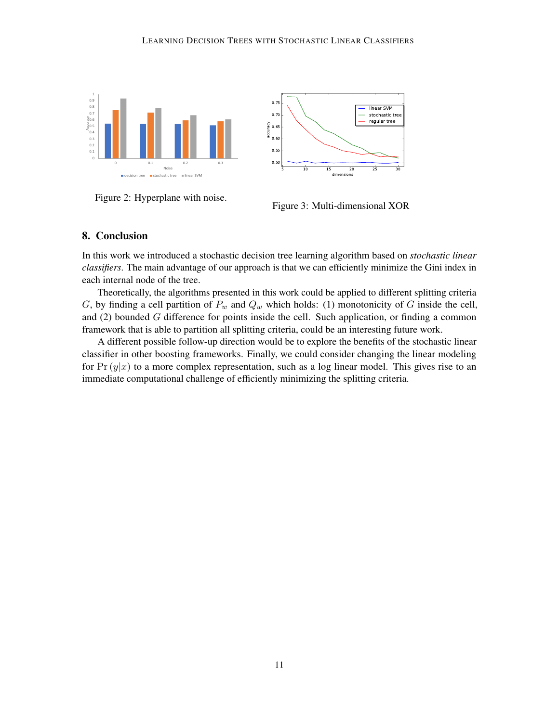



Figure 2: Hyperplane with noise.

<span id="page-10-1"></span>

# <span id="page-10-0"></span>8. Conclusion

In this work we introduced a stochastic decision tree learning algorithm based on *stochastic linear classifiers*. The main advantage of our approach is that we can efficiently minimize the Gini index in each internal node of the tree.

Theoretically, the algorithms presented in this work could be applied to different splitting criteria G, by finding a cell partition of  $P_w$  and  $Q_w$  which holds: (1) monotonicity of G inside the cell, and (2) bounded G difference for points inside the cell. Such application, or finding a common framework that is able to partition all splitting criteria, could be an interesting future work.

A different possible follow-up direction would be to explore the benefits of the stochastic linear classifier in other boosting frameworks. Finally, we could consider changing the linear modeling for Pr  $(y|x)$  to a more complex representation, such as a log linear model. This gives rise to an immediate computational challenge of efficiently minimizing the splitting criteria.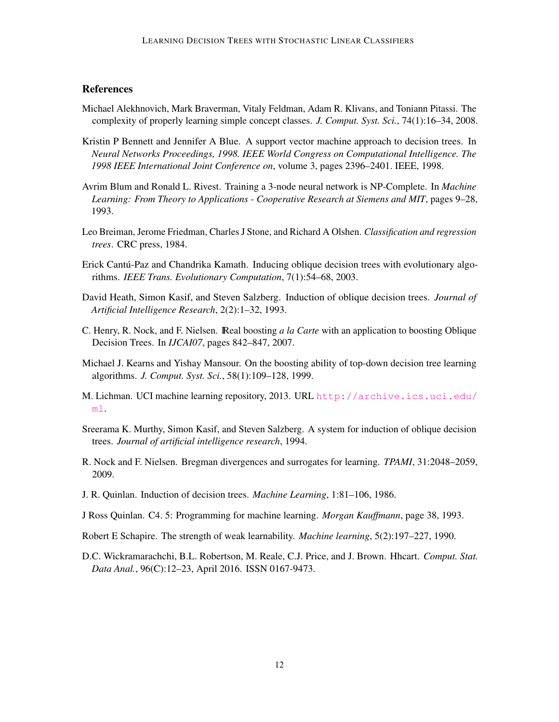# **References**

- <span id="page-11-3"></span>Michael Alekhnovich, Mark Braverman, Vitaly Feldman, Adam R. Klivans, and Toniann Pitassi. The complexity of properly learning simple concept classes. *J. Comput. Syst. Sci.*, 74(1):16–34, 2008.
- <span id="page-11-11"></span>Kristin P Bennett and Jennifer A Blue. A support vector machine approach to decision trees. In *Neural Networks Proceedings, 1998. IEEE World Congress on Computational Intelligence. The 1998 IEEE International Joint Conference on*, volume 3, pages 2396–2401. IEEE, 1998.
- <span id="page-11-8"></span>Avrim Blum and Ronald L. Rivest. Training a 3-node neural network is NP-Complete. In *Machine Learning: From Theory to Applications - Cooperative Research at Siemens and MIT*, pages 9–28, 1993.
- <span id="page-11-0"></span>Leo Breiman, Jerome Friedman, Charles J Stone, and Richard A Olshen. *Classification and regression trees*. CRC press, 1984.
- <span id="page-11-10"></span>Erick Cantú-Paz and Chandrika Kamath. Inducing oblique decision trees with evolutionary algorithms. *IEEE Trans. Evolutionary Computation*, 7(1):54–68, 2003.
- <span id="page-11-7"></span>David Heath, Simon Kasif, and Steven Salzberg. Induction of oblique decision trees. *Journal of Artificial Intelligence Research*, 2(2):1–32, 1993.
- <span id="page-11-13"></span>C. Henry, R. Nock, and F. Nielsen. IReal boosting *a la Carte* with an application to boosting Oblique Decision Trees. In *IJCAI07*, pages 842–847, 2007.
- <span id="page-11-4"></span>Michael J. Kearns and Yishay Mansour. On the boosting ability of top-down decision tree learning algorithms. *J. Comput. Syst. Sci.*, 58(1):109–128, 1999.
- <span id="page-11-14"></span>M. Lichman. UCI machine learning repository, 2013. URL [http://archive.ics.uci.edu/](http://archive.ics.uci.edu/ml) [ml](http://archive.ics.uci.edu/ml).
- <span id="page-11-6"></span>Sreerama K. Murthy, Simon Kasif, and Steven Salzberg. A system for induction of oblique decision trees. *Journal of artificial intelligence research*, 1994.
- <span id="page-11-9"></span>R. Nock and F. Nielsen. Bregman divergences and surrogates for learning. *TPAMI*, 31:2048–2059, 2009.
- <span id="page-11-1"></span>J. R. Quinlan. Induction of decision trees. *Machine Learning*, 1:81–106, 1986.
- <span id="page-11-2"></span>J Ross Quinlan. C4. 5: Programming for machine learning. *Morgan Kauffmann*, page 38, 1993.
- <span id="page-11-5"></span>Robert E Schapire. The strength of weak learnability. *Machine learning*, 5(2):197–227, 1990.
- <span id="page-11-12"></span>D.C. Wickramarachchi, B.L. Robertson, M. Reale, C.J. Price, and J. Brown. Hhcart. *Comput. Stat. Data Anal.*, 96(C):12–23, April 2016. ISSN 0167-9473.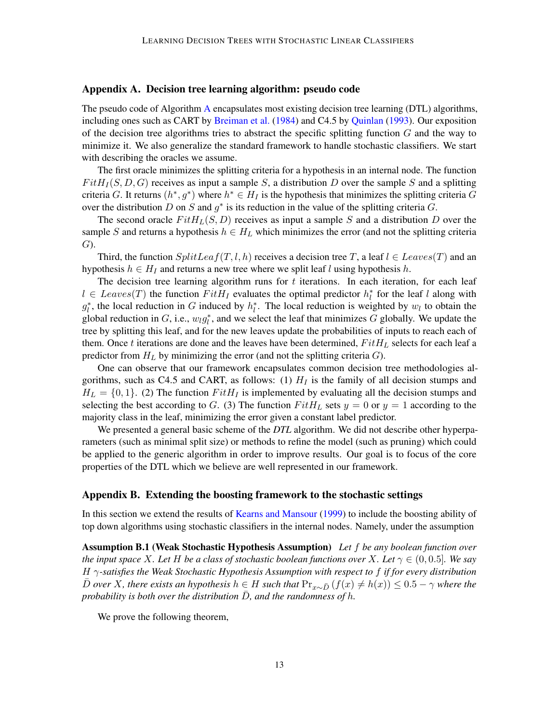## <span id="page-12-0"></span>Appendix A. Decision tree learning algorithm: pseudo code

The pseudo code of Algorithm [A](#page-12-0) encapsulates most existing decision tree learning (DTL) algorithms, including ones such as CART by [Breiman et al.](#page-11-0) [\(1984\)](#page-11-0) and C4.5 by [Quinlan](#page-11-2) [\(1993\)](#page-11-2). Our exposition of the decision tree algorithms tries to abstract the specific splitting function  $G$  and the way to minimize it. We also generalize the standard framework to handle stochastic classifiers. We start with describing the oracles we assume.

The first oracle minimizes the splitting criteria for a hypothesis in an internal node. The function  $FitH<sub>I</sub>(S, D, G)$  receives as input a sample S, a distribution D over the sample S and a splitting criteria G. It returns  $(h^*, g^*)$  where  $h^* \in H_I$  is the hypothesis that minimizes the splitting criteria G over the distribution D on S and  $g^*$  is its reduction in the value of the splitting criteria G.

The second oracle  $FitH_L(S, D)$  receives as input a sample S and a distribution D over the sample S and returns a hypothesis  $h \in H_L$  which minimizes the error (and not the splitting criteria G).

Third, the function  $SplitLeaf(T, l, h)$  receives a decision tree T, a leaf  $l \in Leaves(T)$  and an hypothesis  $h \in H_I$  and returns a new tree where we split leaf l using hypothesis h.

The decision tree learning algorithm runs for  $t$  iterations. In each iteration, for each leaf  $l \in Leaves(T)$  the function  $FitH_I$  evaluates the optimal predictor  $h_l^*$  for the leaf l along with  $g_l^*$ , the local reduction in G induced by  $h_l^*$ . The local reduction is weighted by  $w_l$  to obtain the global reduction in G, i.e.,  $w_l g_l^*$ , and we select the leaf that minimizes G globally. We update the tree by splitting this leaf, and for the new leaves update the probabilities of inputs to reach each of them. Once t iterations are done and the leaves have been determined,  $FitH<sub>L</sub>$  selects for each leaf a predictor from  $H_L$  by minimizing the error (and not the splitting criteria  $G$ ).

One can observe that our framework encapsulates common decision tree methodologies algorithms, such as C4.5 and CART, as follows: (1)  $H_I$  is the family of all decision stumps and  $H_L = \{0, 1\}$ . (2) The function  $FitH_I$  is implemented by evaluating all the decision stumps and selecting the best according to G. (3) The function  $FitH<sub>L</sub>$  sets  $y = 0$  or  $y = 1$  according to the majority class in the leaf, minimizing the error given a constant label predictor.

We presented a general basic scheme of the *DTL* algorithm. We did not describe other hyperparameters (such as minimal split size) or methods to refine the model (such as pruning) which could be applied to the generic algorithm in order to improve results. Our goal is to focus of the core properties of the DTL which we believe are well represented in our framework.

#### <span id="page-12-1"></span>Appendix B. Extending the boosting framework to the stochastic settings

In this section we extend the results of [Kearns and Mansour](#page-11-4) [\(1999\)](#page-11-4) to include the boosting ability of top down algorithms using stochastic classifiers in the internal nodes. Namely, under the assumption

Assumption B.1 (Weak Stochastic Hypothesis Assumption) *Let* f *be any boolean function over the input space* X*. Let* H *be a class of stochastic boolean functions over* X*. Let* γ ∈ (0, 0.5]*. We say* H γ*-satisfies the Weak Stochastic Hypothesis Assumption with respect to* f *if for every distribution D* over *X*, there exists an hypothesis  $h$  ∈ H such that  $Pr_{x\sim \bar{D}}(f(x) \neq h(x))$  ≤ 0.5 –  $\gamma$  where the *probability is both over the distribution*  $\overline{D}$ *, and the randomness of h.* 

<span id="page-12-3"></span><span id="page-12-2"></span>We prove the following theorem,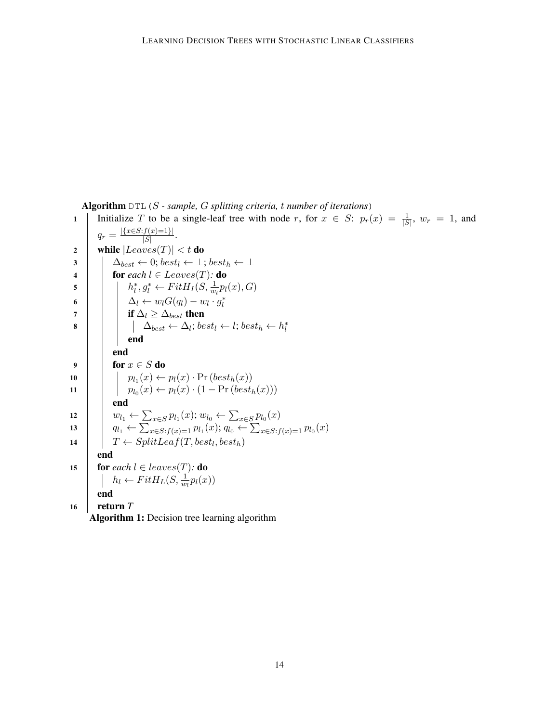Algorithm DTL(S *- sample,* G *splitting criteria,* t *number of iterations*)

<sup>1</sup> Initialize T to be a single-leaf tree with node r, for x ∈ S: pr(x) = <sup>1</sup> |S| , w<sup>r</sup> = 1, and q<sup>r</sup> = |{x∈S:f(x)=1}| |S| . 2 while |Leaves(T)| < t do <sup>3</sup> ∆best ← 0; best<sup>l</sup> ← ⊥; best<sup>h</sup> ← ⊥ 4 for *each* l ∈ Leaves(T)*:* do 5 h ∗ l , g<sup>∗</sup> <sup>l</sup> <sup>←</sup> F itH<sup>I</sup> (S, <sup>1</sup> wl pl(x), G) <sup>6</sup> ∆<sup>l</sup> ← wlG(ql) − w<sup>l</sup> · g ∗ l <sup>7</sup> if ∆<sup>l</sup> ≥ ∆best then <sup>8</sup> ∆best ← ∆<sup>l</sup> ; best<sup>l</sup> ← l; best<sup>h</sup> ← h ∗ l end end 9 for x ∈ S do <sup>10</sup> pl<sup>1</sup> (x) ← pl(x) · Pr (besth(x)) <sup>11</sup> pl<sup>0</sup> (x) ← pl(x) · (1 − Pr (besth(x))) end <sup>12</sup> wl<sup>1</sup> ← P x∈S pl1 (x); wl<sup>0</sup> ← P x∈S pl0 (x) <sup>13</sup> ql<sup>1</sup> ← P <sup>x</sup>∈S:f(x)=1 pl<sup>1</sup> (x); ql<sup>0</sup> ← P <sup>x</sup>∈S:f(x)=1 pl<sup>0</sup> (x) <sup>14</sup> T ← SplitLeaf(T, best<sup>l</sup> , besth) end 15 for *each* l ∈ leaves(T)*:* do h<sup>l</sup> ← F itHL(S, <sup>1</sup> wl pl(x)) end 16 return *T* Algorithm 1: Decision tree learning algorithm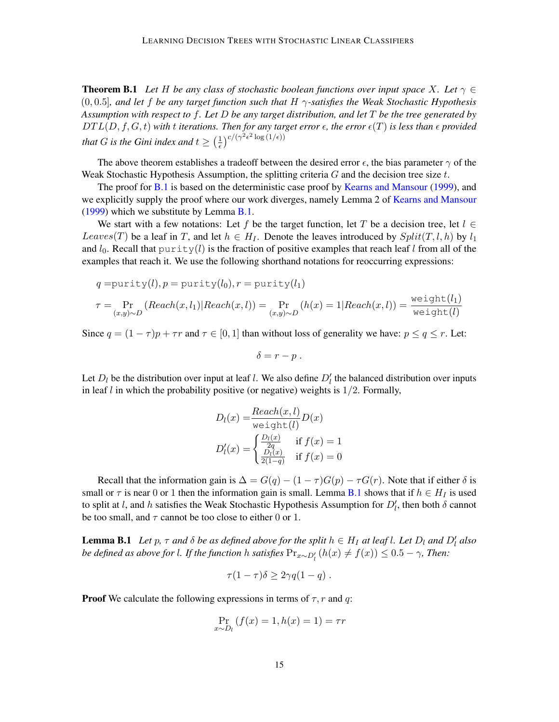**Theorem B.1** Let H be any class of stochastic boolean functions over input space X. Let  $\gamma \in$ (0, 0.5]*, and let* f *be any target function such that* H γ*-satisfies the Weak Stochastic Hypothesis Assumption with respect to* f*. Let* D *be any target distribution, and let* T *be the tree generated by*  $DTL(D, f, G, t)$  *with t iterations. Then for any target error*  $\epsilon$ , *the error*  $\epsilon(T)$  *is less than*  $\epsilon$  *provided that G is the Gini index and*  $t \geq \left(\frac{1}{\epsilon}\right)$  $\frac{1}{\epsilon}$ )<sup>c</sup>/( $\gamma^2 \epsilon^2 \log{(1/\epsilon)}$ )

The above theorem establishes a tradeoff between the desired error  $\epsilon$ , the bias parameter  $\gamma$  of the Weak Stochastic Hypothesis Assumption, the splitting criteria  $G$  and the decision tree size  $t$ .

The proof for [B.1](#page-12-3) is based on the deterministic case proof by [Kearns and Mansour](#page-11-4) [\(1999\)](#page-11-4), and we explicitly supply the proof where our work diverges, namely Lemma 2 of [Kearns and Mansour](#page-11-4) [\(1999\)](#page-11-4) which we substitute by Lemma [B.1.](#page-14-0)

We start with a few notations: Let f be the target function, let T be a decision tree, let  $l \in$ Leaves(T) be a leaf in T, and let  $h \in H_I$ . Denote the leaves introduced by  $Split(T, l, h)$  by  $l_1$ and  $l_0$ . Recall that purity(l) is the fraction of positive examples that reach leaf l from all of the examples that reach it. We use the following shorthand notations for reoccurring expressions:

$$
q = \text{purity}(l), p = \text{purity}(l_0), r = \text{purity}(l_1)
$$
\n
$$
\tau = \Pr_{(x,y)\sim D} (\text{Reach}(x, l_1) | \text{Reach}(x, l)) = \Pr_{(x,y)\sim D} (h(x) = 1 | \text{Reach}(x, l)) = \frac{\text{weight}(l_1)}{\text{weight}(l)}
$$

Since  $q = (1 - \tau)p + \tau r$  and  $\tau \in [0, 1]$  than without loss of generality we have:  $p \le q \le r$ . Let:

$$
\delta=r-p.
$$

Let  $D_l$  be the distribution over input at leaf l. We also define  $D_l$  the balanced distribution over inputs in leaf  $l$  in which the probability positive (or negative) weights is  $1/2$ . Formally,

$$
D_l(x) = \frac{Reach(x, l)}{\text{weight}(l)} D(x)
$$

$$
D'_l(x) = \begin{cases} \frac{D_l(x)}{2q} & \text{if } f(x) = 1\\ \frac{D_l(x)}{2(1-q)} & \text{if } f(x) = 0 \end{cases}
$$

Recall that the information gain is  $\Delta = G(q) - (1 - \tau)G(p) - \tau G(r)$ . Note that if either  $\delta$  is small or  $\tau$  is near 0 or 1 then the information gain is small. Lemma [B.1](#page-14-0) shows that if  $h \in H_I$  is used to split at l, and h satisfies the Weak Stochastic Hypothesis Assumption for  $D'_l$ , then both  $\delta$  cannot be too small, and  $\tau$  cannot be too close to either 0 or 1.

<span id="page-14-0"></span>**Lemma B.1** Let p,  $\tau$  and  $\delta$  be as defined above for the split  $h \in H_I$  at leaf l. Let  $D_l$  and  $D'_l$  also *be defined as above for l. If the function h satisfies*  $Pr_{x \sim D_l'}(h(x) \neq f(x)) \leq 0.5 - \gamma$ , Then:

$$
\tau(1-\tau)\delta \geq 2\gamma q(1-q) .
$$

**Proof** We calculate the following expressions in terms of  $\tau$ , r and q:

$$
\Pr_{x \sim D_l} (f(x) = 1, h(x) = 1) = \tau r
$$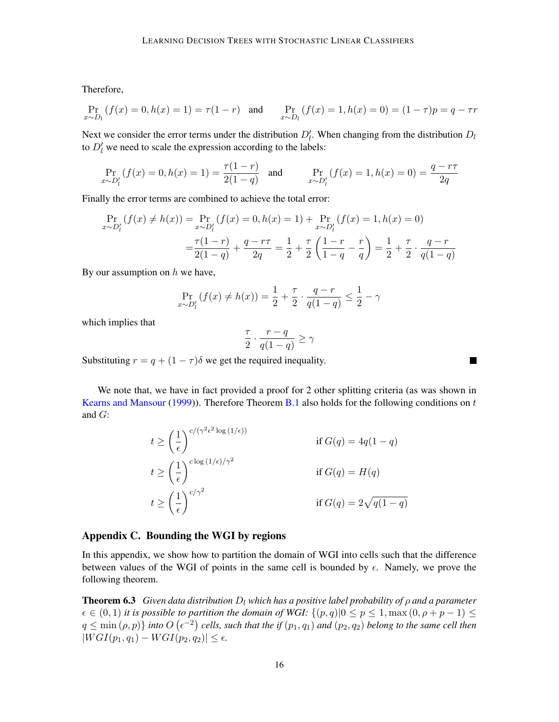Therefore,

$$
\Pr_{x \sim D_l} (f(x) = 0, h(x) = 1) = \tau (1 - r) \text{ and } \Pr_{x \sim D_l} (f(x) = 1, h(x) = 0) = (1 - \tau)p = q - \tau r
$$

Next we consider the error terms under the distribution  $D_l'$ . When changing from the distribution  $D_l$ to  $D_l'$  we need to scale the expression according to the labels:

$$
\Pr_{x \sim D'_l} (f(x) = 0, h(x) = 1) = \frac{\tau(1 - r)}{2(1 - q)} \quad \text{and} \quad \Pr_{x \sim D'_l} (f(x) = 1, h(x) = 0) = \frac{q - r\tau}{2q}
$$

Finally the error terms are combined to achieve the total error:

$$
\Pr_{x \sim D'_l} (f(x) \neq h(x)) = \Pr_{x \sim D'_l} (f(x) = 0, h(x) = 1) + \Pr_{x \sim D'_l} (f(x) = 1, h(x) = 0)
$$

$$
= \frac{\tau(1-r)}{2(1-q)} + \frac{q-r\tau}{2q} = \frac{1}{2} + \frac{\tau}{2} \left( \frac{1-r}{1-q} - \frac{r}{q} \right) = \frac{1}{2} + \frac{\tau}{2} \cdot \frac{q-r}{q(1-q)}
$$

By our assumption on  $h$  we have,

$$
\Pr_{x \sim D'_l} (f(x) \neq h(x)) = \frac{1}{2} + \frac{\tau}{2} \cdot \frac{q - r}{q(1 - q)} \leq \frac{1}{2} - \gamma
$$

which implies that

$$
\frac{\tau}{2} \cdot \frac{r-q}{q(1-q)} \ge \gamma
$$

Substituting  $r = q + (1 - \tau)\delta$  we get the required inequality.

We note that, we have in fact provided a proof for 2 other splitting criteria (as was shown in [Kearns and Mansour](#page-11-4) [\(1999\)](#page-11-4)). Therefore Theorem [B.1](#page-12-3) also holds for the following conditions on  $t$ and G:

$$
t \ge \left(\frac{1}{\epsilon}\right)^{c/(\gamma^2 \epsilon^2 \log(1/\epsilon))}
$$
  
\nif  $G(q) = 4q(1-q)$   
\n
$$
t \ge \left(\frac{1}{\epsilon}\right)^{c \log(1/\epsilon)/\gamma^2}
$$
  
\nif  $G(q) = H(q)$   
\n
$$
t \ge \left(\frac{1}{\epsilon}\right)^{c/\gamma^2}
$$
  
\nif  $G(q) = 2\sqrt{q(1-q)}$ 

# <span id="page-15-0"></span>Appendix C. Bounding the WGI by regions

In this appendix, we show how to partition the domain of WGI into cells such that the difference between values of the WGI of points in the same cell is bounded by  $\epsilon$ . Namely, we prove the following theorem.

**Theorem 6.3** *Given data distribution*  $D_l$  *which has a positive label probability of*  $\rho$  *and a parameter*  $\epsilon \in (0,1)$  *it is possible to partition the domain of WGI:*  $\{(p,q)|0 \leq p \leq 1, \max(0, \rho + p - 1) \leq 1\}$  $q \leq \min(\rho, p) \}$  into  $O(\epsilon^{-2})$  cells, such that the if  $(p_1, q_1)$  and  $(p_2, q_2)$  belong to the same cell then  $|WGI(p_1, q_1) - WGI(p_2, q_2)| \leq \epsilon.$ 

 $\blacksquare$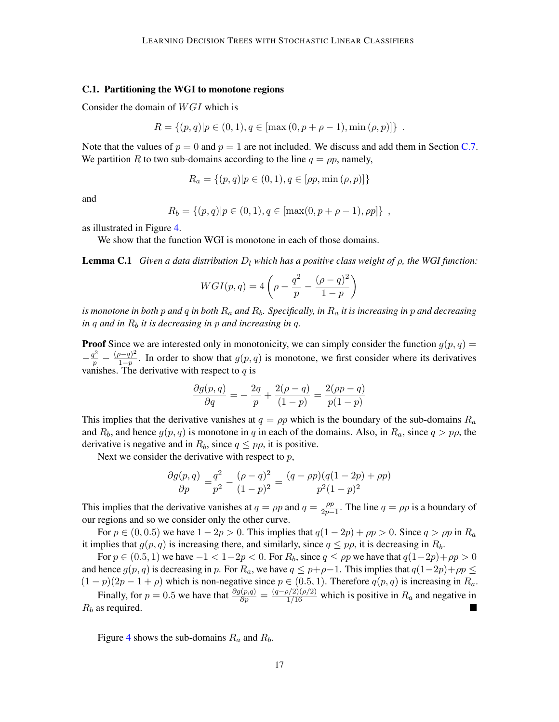#### C.1. Partitioning the WGI to monotone regions

Consider the domain of  $WGI$  which is

$$
R = \{(p, q) | p \in (0, 1), q \in [\max(0, p + \rho - 1), \min(\rho, p)]\}.
$$

Note that the values of  $p = 0$  and  $p = 1$  are not included. We discuss and add them in Section [C.7.](#page-20-0) We partition R to two sub-domains according to the line  $q = \rho p$ , namely,

$$
R_a = \{(p, q) | p \in (0, 1), q \in [\rho p, \min (\rho, p)]\}
$$

and

$$
R_b = \{(p,q)|p \in (0,1), q \in [\max(0, p + \rho - 1), \rho p]\},\,
$$

as illustrated in Figure [4.](#page-17-0)

We show that the function WGI is monotone in each of those domains.

<span id="page-16-0"></span>**Lemma C.1** *Given a data distribution*  $D_l$  *which has a positive class weight of*  $\rho$ *, the WGI function:* 

$$
WGI(p,q) = 4\left(\rho - \frac{q^2}{p} - \frac{(\rho - q)^2}{1 - p}\right)
$$

*is monotone in both* p *and* q *in both* R<sup>a</sup> *and* Rb*. Specifically, in* R<sup>a</sup> *it is increasing in* p *and decreasing in*  $q$  *and in*  $R_b$  *it is decreasing in*  $p$  *and increasing in*  $q$ *.* 

**Proof** Since we are interested only in monotonicity, we can simply consider the function  $g(p, q)$  =  $-\frac{q^2}{p} - \frac{(\rho-q)^2}{1-p}$  $\frac{1-p}{1-p}$ . In order to show that  $g(p,q)$  is monotone, we first consider where its derivatives vanishes. The derivative with respect to  $q$  is

$$
\frac{\partial g(p,q)}{\partial q} = -\frac{2q}{p} + \frac{2(\rho - q)}{(1 - p)} = \frac{2(\rho p - q)}{p(1 - p)}
$$

This implies that the derivative vanishes at  $q = \rho p$  which is the boundary of the sub-domains  $R_a$ and  $R_b$ , and hence  $g(p, q)$  is monotone in q in each of the domains. Also, in  $R_a$ , since  $q > p\rho$ , the derivative is negative and in  $R_b$ , since  $q \leq p\rho$ , it is positive.

Next we consider the derivative with respect to  $p$ ,

$$
\frac{\partial g(p,q)}{\partial p} = \frac{q^2}{p^2} - \frac{(\rho - q)^2}{(1 - p)^2} = \frac{(q - \rho p)(q(1 - 2p) + \rho p)}{p^2(1 - p)^2}
$$

This implies that the derivative vanishes at  $q = \rho p$  and  $q = \frac{\rho p}{2n}$  $\frac{\rho p}{2p-1}$ . The line  $q = \rho p$  is a boundary of our regions and so we consider only the other curve.

For  $p \in (0, 0.5)$  we have  $1 - 2p > 0$ . This implies that  $q(1 - 2p) + \rho p > 0$ . Since  $q > \rho p$  in  $R_a$ it implies that  $g(p, q)$  is increasing there, and similarly, since  $q \leq p\rho$ , it is decreasing in  $R_b$ .

For  $p \in (0.5, 1)$  we have  $-1 < 1-2p < 0$ . For  $R_b$ , since  $q \leq \rho p$  we have that  $q(1-2p)+\rho p > 0$ and hence  $g(p, q)$  is decreasing in p. For  $R_a$ , we have  $q \leq p+\rho-1$ . This implies that  $q(1-2p)+\rho p \leq$  $(1-p)(2p-1+\rho)$  which is non-negative since  $p \in (0.5, 1)$ . Therefore  $q(p, q)$  is increasing in  $R_a$ .

Finally, for  $p = 0.5$  we have that  $\frac{\partial g(p,q)}{\partial p} = \frac{(q-\rho/2)(\rho/2)}{1/16}$  which is positive in  $R_a$  and negative in  $R_b$  as required. **College** 

Figure [4](#page-17-0) shows the sub-domains  $R_a$  and  $R_b$ .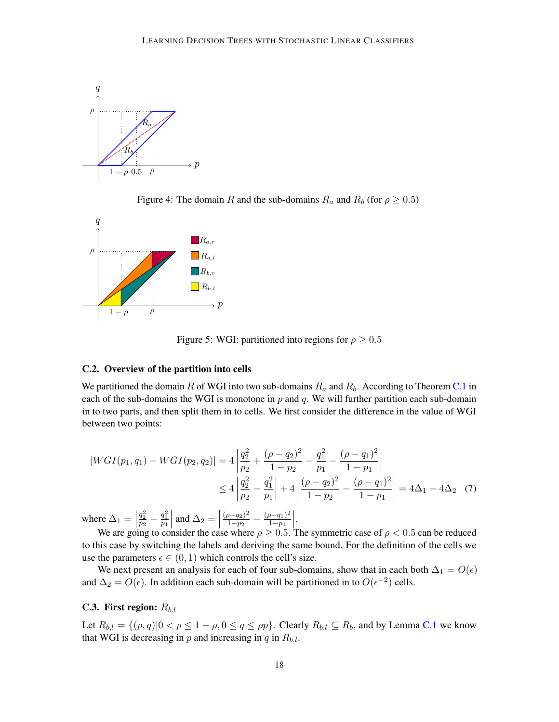

<span id="page-17-0"></span>Figure 4: The domain R and the sub-domains  $R_a$  and  $R_b$  (for  $\rho \ge 0.5$ )



<span id="page-17-1"></span>Figure 5: WGI: partitioned into regions for  $\rho \geq 0.5$ 

## C.2. Overview of the partition into cells

We partitioned the domain R of WGI into two sub-domains  $R_a$  and  $R_b$ . According to Theorem [C.1](#page-16-0) in each of the sub-domains the WGI is monotone in  $p$  and  $q$ . We will further partition each sub-domain in to two parts, and then split them in to cells. We first consider the difference in the value of WGI between two points:

$$
|WGI(p_1, q_1) - WGI(p_2, q_2)| = 4 \left| \frac{q_2^2}{p_2} + \frac{(\rho - q_2)^2}{1 - p_2} - \frac{q_1^2}{p_1} - \frac{(\rho - q_1)^2}{1 - p_1} \right|
$$
  
 
$$
\leq 4 \left| \frac{q_2^2}{p_2} - \frac{q_1^2}{p_1} \right| + 4 \left| \frac{(\rho - q_2)^2}{1 - p_2} - \frac{(\rho - q_1)^2}{1 - p_1} \right| = 4\Delta_1 + 4\Delta_2 \quad (7)
$$

where  $\Delta_1 =$  $\frac{q_2^2}{p_2} - \frac{q_1^2}{p_1}$  $\left| \text{ and } \Delta_2 = \right|$  $(\rho - q_2)^2$  $\frac{(p-q_1)^2}{1-p_2} - \frac{(p-q_1)^2}{1-p_1}$  $\overline{1-p_1}$ re  $\Delta_1 = \left| \frac{q_2^2}{p_2} - \frac{q_1^2}{p_1} \right|$  and  $\Delta_2 = \left| \frac{(\rho - q_2)^2}{1 - p_2} - \frac{(\rho - q_1)^2}{1 - p_1} \right|$ .<br>We are going to consider the case where  $\rho \ge 0.5$ . The symmetric case of  $\rho < 0.5$  can be reduced

to this case by switching the labels and deriving the same bound. For the definition of the cells we use the parameters  $\epsilon \in (0, 1)$  which controls the cell's size.

We next present an analysis for each of four sub-domains, show that in each both  $\Delta_1 = O(\epsilon)$ and  $\Delta_2 = O(\epsilon)$ . In addition each sub-domain will be partitioned in to  $O(\epsilon^{-2})$  cells.

## C.3. First region:  $R_{b,l}$

Let  $R_{b,l} = \{(p,q) | 0 < p \leq 1 - \rho, 0 \leq q \leq \rho p\}$ . Clearly  $R_{b,l} \subseteq R_b$ , and by Lemma [C.1](#page-16-0) we know that WGI is decreasing in p and increasing in q in  $R_{b,l}$ .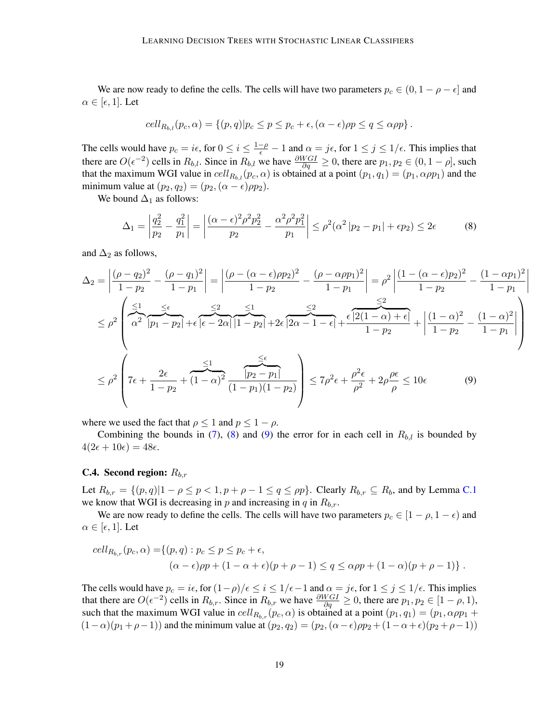We are now ready to define the cells. The cells will have two parameters  $p_c \in (0, 1 - \rho - \epsilon]$  and  $\alpha \in [\epsilon, 1]$ . Let

$$
cell_{R_{b,l}}(p_c, \alpha) = \{(p,q) | p_c \leq p \leq p_c + \epsilon, (\alpha - \epsilon) \rho p \leq q \leq \alpha \rho p\}.
$$

The cells would have  $p_c = i\epsilon$ , for  $0 \le i \le \frac{1-\rho}{\epsilon} - 1$  and  $\alpha = j\epsilon$ , for  $1 \le j \le 1/\epsilon$ . This implies that there are  $O(\epsilon^{-2})$  cells in  $R_{b,l}$ . Since in  $R_{b,l}$  we have  $\frac{\partial WGI}{\partial q} \ge 0$ , there are  $p_1, p_2 \in (0, 1 - \rho]$ , such that the maximum WGI value in  $cell_{R_{b,l}} (p_c, \alpha)$  is obtained at a point  $(p_1, q_1) = (p_1, \alpha \rho p_1)$  and the minimum value at  $(p_2, q_2) = (p_2, (\alpha - \epsilon) \rho p_2)$ .

We bound  $\Delta_1$  as follows:

$$
\Delta_1 = \left| \frac{q_2^2}{p_2} - \frac{q_1^2}{p_1} \right| = \left| \frac{(\alpha - \epsilon)^2 \rho^2 p_2^2}{p_2} - \frac{\alpha^2 \rho^2 p_1^2}{p_1} \right| \le \rho^2 (\alpha^2 |p_2 - p_1| + \epsilon p_2) \le 2\epsilon \tag{8}
$$

and  $\Delta_2$  as follows,

$$
\Delta_2 = \left| \frac{(\rho - q_2)^2}{1 - p_2} - \frac{(\rho - q_1)^2}{1 - p_1} \right| = \left| \frac{(\rho - (\alpha - \epsilon)\rho p_2)^2}{1 - p_2} - \frac{(\rho - \alpha\rho p_1)^2}{1 - p_1} \right| = \rho^2 \left| \frac{(1 - (\alpha - \epsilon)p_2)^2}{1 - p_2} - \frac{(1 - \alpha p_1)^2}{1 - p_1} \right|
$$
  

$$
\leq \rho^2 \left( \frac{\epsilon_1}{\alpha^2} \frac{\epsilon_\epsilon}{|p_1 - p_2|} + \epsilon \frac{\epsilon_2}{|\epsilon - 2\alpha|} \frac{\epsilon_1}{|1 - p_2|} + 2\epsilon \frac{\epsilon_2}{|2\alpha - 1 - \epsilon|} + \frac{\epsilon \left| 2(1 - \alpha) + \epsilon \right|}{1 - p_2} + \left| \frac{(1 - \alpha)^2}{1 - p_2} - \frac{(1 - \alpha)^2}{1 - p_1} \right| \right)
$$
  

$$
\leq \rho^2 \left( 7\epsilon + \frac{2\epsilon}{1 - p_2} + (1 - \alpha)^2 \frac{\epsilon_1}{(1 - p_1)(1 - p_2)} \right) \leq 7\rho^2 \epsilon + \frac{\rho^2 \epsilon}{\rho^2} + 2\rho \frac{\rho \epsilon}{\rho} \leq 10\epsilon \tag{9}
$$

<span id="page-18-1"></span><span id="page-18-0"></span> $\overline{\phantom{a}}$ I  $\overline{\phantom{a}}$  $\mid$ 

where we used the fact that  $\rho \leq 1$  and  $p \leq 1 - \rho$ .

Combining the bounds in [\(7\)](#page-17-1), [\(8\)](#page-18-0) and [\(9\)](#page-18-1) the error for in each cell in  $R_{b,l}$  is bounded by  $4(2\epsilon + 10\epsilon) = 48\epsilon.$ 

#### **C.4.** Second region:  $R_{b,r}$

Let  $R_{b,r} = \{(p,q) | 1 - \rho \le p < 1, p + \rho - 1 \le q \le \rho p\}$ . Clearly  $R_{b,r} \subseteq R_b$ , and by Lemma [C.1](#page-16-0) we know that WGI is decreasing in p and increasing in q in  $R_{b,r}$ .

We are now ready to define the cells. The cells will have two parameters  $p_c \in [1 - \rho, 1 - \epsilon)$  and  $\alpha \in [\epsilon, 1]$ . Let

$$
cell_{R_{b,r}}(p_c, \alpha) = \{(p, q) : p_c \le p \le p_c + \epsilon,
$$
  

$$
(\alpha - \epsilon)p + (1 - \alpha + \epsilon)(p + \rho - 1) \le q \le \alpha \rho p + (1 - \alpha)(p + \rho - 1)\}.
$$

The cells would have  $p_c = i\epsilon$ , for  $(1-\rho)/\epsilon \le i \le 1/\epsilon - 1$  and  $\alpha = j\epsilon$ , for  $1 \le j \le 1/\epsilon$ . This implies that there are  $O(\epsilon^{-2})$  cells in  $R_{b,r}$ . Since in  $R_{b,r}$  we have  $\frac{\partial WGI}{\partial q} \ge 0$ , there are  $p_1, p_2 \in [1 - \rho, 1)$ , such that the maximum WGI value in  $cell_{R_{b,r}}(p_c, \alpha)$  is obtained at a point  $(p_1, q_1) = (p_1, \alpha \rho p_1 + \alpha \rho p_2)$  $(1-\alpha)(p_1+\rho-1)$ ) and the minimum value at  $(p_2, q_2) = (p_2, (\alpha - \epsilon)p_2 + (1-\alpha+\epsilon)(p_2+\rho-1))$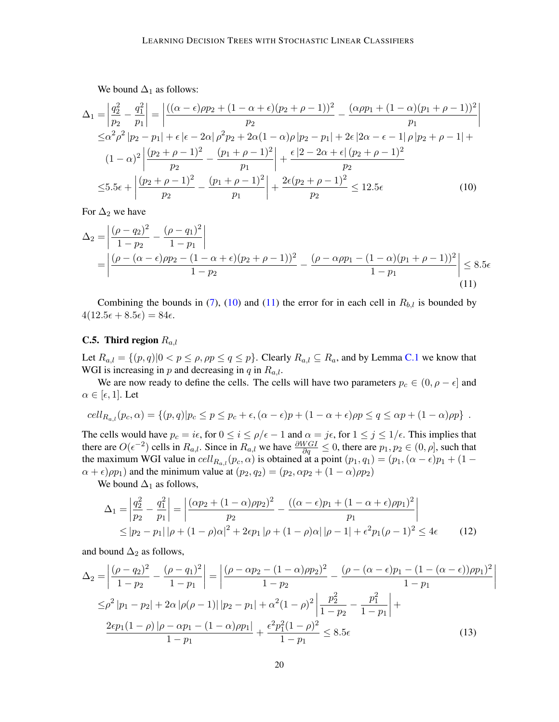<span id="page-19-0"></span>We bound  $\Delta_1$  as follows:

$$
\Delta_1 = \left| \frac{q_2^2}{p_2} - \frac{q_1^2}{p_1} \right| = \left| \frac{((\alpha - \epsilon)\rho p_2 + (1 - \alpha + \epsilon)(p_2 + \rho - 1))^2}{p_2} - \frac{(\alpha \rho p_1 + (1 - \alpha)(p_1 + \rho - 1))^2}{p_1} \right|
$$
  
\n
$$
\leq \alpha^2 \rho^2 |p_2 - p_1| + \epsilon |\epsilon - 2\alpha| \rho^2 p_2 + 2\alpha (1 - \alpha) \rho |p_2 - p_1| + 2\epsilon |2\alpha - \epsilon - 1| \rho |p_2 + \rho - 1| +
$$
  
\n
$$
(1 - \alpha)^2 \left| \frac{(p_2 + \rho - 1)^2}{p_2} - \frac{(p_1 + \rho - 1)^2}{p_1} \right| + \frac{\epsilon |2 - 2\alpha + \epsilon| (p_2 + \rho - 1)^2}{p_2}
$$
  
\n
$$
\leq 5.5\epsilon + \left| \frac{(p_2 + \rho - 1)^2}{p_2} - \frac{(p_1 + \rho - 1)^2}{p_1} \right| + \frac{2\epsilon (p_2 + \rho - 1)^2}{p_2} \leq 12.5\epsilon
$$
 (10)

For  $\Delta_2$  we have

$$
\Delta_2 = \left| \frac{(\rho - q_2)^2}{1 - p_2} - \frac{(\rho - q_1)^2}{1 - p_1} \right|
$$
  
= 
$$
\left| \frac{(\rho - (\alpha - \epsilon)\rho p_2 - (1 - \alpha + \epsilon)(p_2 + \rho - 1))^2}{1 - p_2} - \frac{(\rho - \alpha\rho p_1 - (1 - \alpha)(p_1 + \rho - 1))^2}{1 - p_1} \right| \le 8.5\epsilon
$$
 (11)

Combining the bounds in [\(7\)](#page-17-1), [\(10\)](#page-19-0) and [\(11\)](#page-19-1) the error for in each cell in  $R_{b,l}$  is bounded by  $4(12.5\epsilon + 8.5\epsilon) = 84\epsilon.$ 

# C.5. Third region  $R_{a,l}$

Let  $R_{a,l} = \{(p,q) | 0 < p \leq \rho, \rho p \leq q \leq p\}$ . Clearly  $R_{a,l} \subseteq R_a$ , and by Lemma [C.1](#page-16-0) we know that WGI is increasing in p and decreasing in q in  $R_{a,l}$ .

We are now ready to define the cells. The cells will have two parameters  $p_c \in (0, \rho - \epsilon]$  and  $\alpha \in [\epsilon, 1]$ . Let

$$
cell_{R_{a,l}}(p_c, \alpha) = \{(p,q)|p_c \leq p \leq p_c + \epsilon, (\alpha - \epsilon)p + (1 - \alpha + \epsilon)pp \leq q \leq \alpha p + (1 - \alpha)pp\}.
$$

The cells would have  $p_c = i\epsilon$ , for  $0 \le i \le \rho/\epsilon - 1$  and  $\alpha = j\epsilon$ , for  $1 \le j \le 1/\epsilon$ . This implies that there are  $O(\epsilon^{-2})$  cells in  $R_{a,l}$ . Since in  $R_{a,l}$  we have  $\frac{\partial WGI}{\partial q} \le 0$ , there are  $p_1, p_2 \in (0, \rho]$ , such that the maximum WGI value in  $cell_{R_{a,l}}(p_c, \alpha)$  is obtained at a point  $(p_1, q_1) = (p_1, (\alpha - \epsilon)p_1 + (1 - \epsilon)p_2)$  $(\alpha + \epsilon) \rho p_1$ ) and the minimum value at  $(p_2, q_2) = (p_2, \alpha p_2 + (1 - \alpha) \rho p_2)$ 

We bound  $\Delta_1$  as follows,

$$
\Delta_1 = \left| \frac{q_2^2}{p_2} - \frac{q_1^2}{p_1} \right| = \left| \frac{(\alpha p_2 + (1 - \alpha)\rho p_2)^2}{p_2} - \frac{((\alpha - \epsilon)p_1 + (1 - \alpha + \epsilon)\rho p_1)^2}{p_1} \right|
$$
  
\n
$$
\leq |p_2 - p_1| |\rho + (1 - \rho)\alpha|^2 + 2\epsilon p_1 |\rho + (1 - \rho)\alpha| |\rho - 1| + \epsilon^2 p_1 (\rho - 1)^2 \leq 4\epsilon
$$
 (12)

<span id="page-19-3"></span><span id="page-19-2"></span><span id="page-19-1"></span> $\overline{\phantom{a}}$ I  $\overline{\phantom{a}}$  $\overline{\phantom{a}}$ 

and bound  $\Delta_2$  as follows,

$$
\Delta_2 = \left| \frac{(\rho - q_2)^2}{1 - p_2} - \frac{(\rho - q_1)^2}{1 - p_1} \right| = \left| \frac{(\rho - \alpha p_2 - (1 - \alpha)\rho p_2)^2}{1 - p_2} - \frac{(\rho - (\alpha - \epsilon)p_1 - (1 - (\alpha - \epsilon))\rho p_1)^2}{1 - p_1} \right|
$$
  
\n
$$
\leq \rho^2 |p_1 - p_2| + 2\alpha |\rho(\rho - 1)| |p_2 - p_1| + \alpha^2 (1 - \rho)^2 \left| \frac{p_2^2}{1 - p_2} - \frac{p_1^2}{1 - p_1} \right| +
$$
  
\n
$$
\frac{2\epsilon p_1 (1 - \rho) |\rho - \alpha p_1 - (1 - \alpha)\rho p_1|}{1 - p_1} + \frac{\epsilon^2 p_1^2 (1 - \rho)^2}{1 - p_1} \leq 8.5\epsilon
$$
 (13)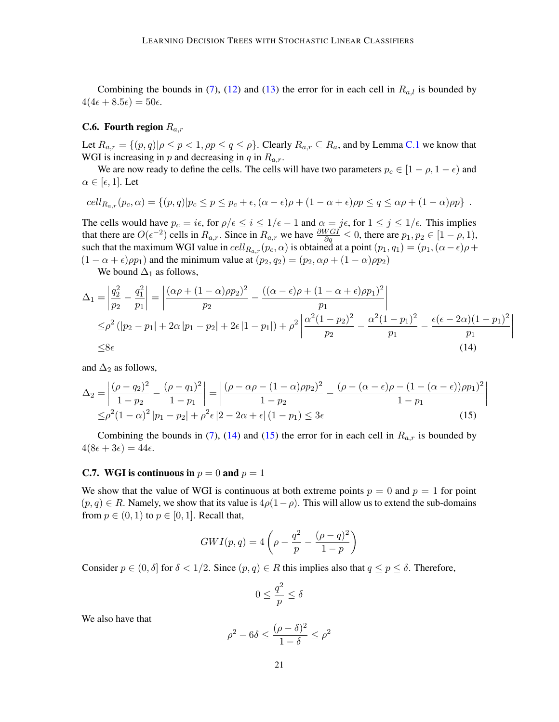Combining the bounds in [\(7\)](#page-17-1), [\(12\)](#page-19-2) and [\(13\)](#page-19-3) the error for in each cell in  $R_{a,l}$  is bounded by  $4(4\epsilon + 8.5\epsilon) = 50\epsilon.$ 

#### **C.6.** Fourth region  $R_{a,r}$

Let  $R_{a,r} = \{(p,q) | \rho \le p < 1, \rho p \le q \le \rho\}$ . Clearly  $R_{a,r} \subseteq R_a$ , and by Lemma [C.1](#page-16-0) we know that WGI is increasing in p and decreasing in q in  $R_{a,r}$ .

We are now ready to define the cells. The cells will have two parameters  $p_c \in [1 - \rho, 1 - \epsilon)$  and  $\alpha \in [\epsilon, 1]$ . Let

$$
cell_{R_{a,r}}(p_c, \alpha) = \{(p,q) | p_c \leq p \leq p_c + \epsilon, (\alpha - \epsilon)\rho + (1 - \alpha + \epsilon)pp \leq q \leq \alpha\rho + (1 - \alpha)pp\}.
$$

The cells would have  $p_c = i\epsilon$ , for  $\rho/\epsilon \leq i \leq 1/\epsilon - 1$  and  $\alpha = j\epsilon$ , for  $1 \leq j \leq 1/\epsilon$ . This implies that there are  $O(\epsilon^{-2})$  cells in  $R_{a,r}$ . Since in  $R_{a,r}$  we have  $\frac{\partial WGI}{\partial q} \le 0$ , there are  $p_1, p_2 \in [1 - \rho, 1)$ , such that the maximum WGI value in  $cell_{R_{a,r}}(p_c, \alpha)$  is obtained at a point  $(p_1, q_1) = (p_1, (\alpha - \epsilon)\rho + \alpha)$  $(1 - \alpha + \epsilon) \rho p_1$ ) and the minimum value at  $(p_2, q_2) = (p_2, \alpha \rho + (1 - \alpha) \rho p_2)$ 

We bound  $\Delta_1$  as follows,

$$
\Delta_1 = \left| \frac{q_2^2}{p_2} - \frac{q_1^2}{p_1} \right| = \left| \frac{(\alpha \rho + (1 - \alpha)\rho p_2)^2}{p_2} - \frac{((\alpha - \epsilon)\rho + (1 - \alpha + \epsilon)\rho p_1)^2}{p_1} \right|
$$
  
\n
$$
\leq \rho^2 (|p_2 - p_1| + 2\alpha |p_1 - p_2| + 2\epsilon |1 - p_1|) + \rho^2 \left| \frac{\alpha^2 (1 - p_2)^2}{p_2} - \frac{\alpha^2 (1 - p_1)^2}{p_1} - \frac{\epsilon (\epsilon - 2\alpha)(1 - p_1)^2}{p_1} \right|
$$
  
\n
$$
\leq 8\epsilon
$$
 (14)

<span id="page-20-2"></span><span id="page-20-1"></span> $\overline{\phantom{a}}$ I  $\overline{\phantom{a}}$  $\mid$ 

and  $\Delta_2$  as follows,

$$
\Delta_2 = \left| \frac{(\rho - q_2)^2}{1 - p_2} - \frac{(\rho - q_1)^2}{1 - p_1} \right| = \left| \frac{(\rho - \alpha \rho - (1 - \alpha)\rho p_2)^2}{1 - p_2} - \frac{(\rho - (\alpha - \epsilon)\rho - (1 - (\alpha - \epsilon))\rho p_1)^2}{1 - p_1} \right|
$$
  
\n
$$
\leq \rho^2 (1 - \alpha)^2 |p_1 - p_2| + \rho^2 \epsilon |2 - 2\alpha + \epsilon| (1 - p_1) \leq 3\epsilon
$$
 (15)

Combining the bounds in [\(7\)](#page-17-1), [\(14\)](#page-20-1) and [\(15\)](#page-20-2) the error for in each cell in  $R_{a,r}$  is bounded by  $4(8\epsilon + 3\epsilon) = 44\epsilon.$ 

## <span id="page-20-0"></span>**C.7.** WGI is continuous in  $p = 0$  and  $p = 1$

We show that the value of WGI is continuous at both extreme points  $p = 0$  and  $p = 1$  for point  $(p, q) \in R$ . Namely, we show that its value is  $4p(1-p)$ . This will allow us to extend the sub-domains from  $p \in (0, 1)$  to  $p \in [0, 1]$ . Recall that,

$$
GWI(p,q) = 4\left(\rho - \frac{q^2}{p} - \frac{(\rho - q)^2}{1 - p}\right)
$$

Consider  $p \in (0, \delta]$  for  $\delta < 1/2$ . Since  $(p, q) \in R$  this implies also that  $q \leq p \leq \delta$ . Therefore,

$$
0\leq \frac{q^2}{p}\leq \delta
$$

We also have that

$$
\rho^2 - 6\delta \le \frac{(\rho - \delta)^2}{1 - \delta} \le \rho^2
$$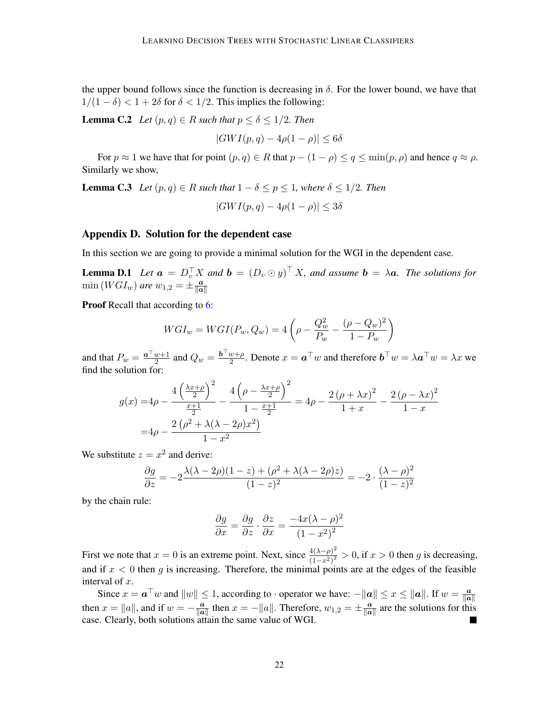the upper bound follows since the function is decreasing in  $\delta$ . For the lower bound, we have that  $1/(1 - \delta) < 1 + 2\delta$  for  $\delta < 1/2$ . This implies the following:

**Lemma C.2** *Let*  $(p, q) \in R$  *such that*  $p \leq \delta \leq 1/2$ *. Then* 

$$
|GWI(p,q) - 4\rho(1-\rho)| \le 6\delta
$$

For  $p \approx 1$  we have that for point  $(p, q) \in R$  that  $p - (1 - \rho) \le q \le \min(p, \rho)$  and hence  $q \approx \rho$ . Similarly we show,

**Lemma C.3** *Let*  $(p,q) \in R$  *such that*  $1 - \delta \leq p \leq 1$ *, where*  $\delta \leq 1/2$ *. Then* 

$$
|GWI(p,q) - 4\rho(1-\rho)| \le 3\delta
$$

## <span id="page-21-0"></span>Appendix D. Solution for the dependent case

In this section we are going to provide a minimal solution for the WGI in the dependent case.

**Lemma D.1** Let  $\mathbf{a} = D_v^{\top} X$  and  $\mathbf{b} = (D_v \odot y)^{\top} X$ , and assume  $\mathbf{b} = \lambda \mathbf{a}$ . The solutions for  $\min(WGI_w)$  are  $w_{1,2} = \pm \frac{a}{\ln a}$  $\|\bm{a}\|$ 

Proof Recall that according to [6:](#page-5-1)

$$
WGI_w = WGI(P_w, Q_w) = 4\left(\rho - \frac{Q_w^2}{P_w} - \frac{(\rho - Q_w)^2}{1 - P_w}\right)
$$

and that  $P_w = \frac{a^{\top} w + 1}{2}$  $\frac{w+1}{2}$  and  $Q_w = \frac{b^{\top} w + \rho}{2}$  $\frac{w+\rho}{2}$ . Denote  $x = a^{\top}w$  and therefore  $\boldsymbol{b}^{\top}w = \lambda a^{\top}w = \lambda x$  we find the solution for:

$$
g(x) = 4\rho - \frac{4\left(\frac{\lambda x + \rho}{2}\right)^2}{\frac{x+1}{2}} - \frac{4\left(\rho - \frac{\lambda x + \rho}{2}\right)^2}{1 - \frac{x+1}{2}} = 4\rho - \frac{2\left(\rho + \lambda x\right)^2}{1 + x} - \frac{2\left(\rho - \lambda x\right)^2}{1 - x}
$$

$$
= 4\rho - \frac{2\left(\rho^2 + \lambda(\lambda - 2\rho)x^2\right)}{1 - x^2}
$$

We substitute  $z = x^2$  and derive:

$$
\frac{\partial g}{\partial z} = -2 \frac{\lambda(\lambda - 2\rho)(1 - z) + (\rho^2 + \lambda(\lambda - 2\rho)z)}{(1 - z)^2} = -2 \cdot \frac{(\lambda - \rho)^2}{(1 - z)^2}
$$

by the chain rule:

$$
\frac{\partial g}{\partial x} = \frac{\partial g}{\partial z} \cdot \frac{\partial z}{\partial x} = \frac{-4x(\lambda - \rho)^2}{(1 - x^2)^2}
$$

First we note that  $x = 0$  is an extreme point. Next, since  $\frac{4(\lambda - \rho)^2}{(1 - \rho)^2}$  $\frac{4(\lambda - \rho)^2}{(1 - x^2)^2} > 0$ , if  $x > 0$  then g is decreasing, and if  $x < 0$  then g is increasing. Therefore, the minimal points are at the edges of the feasible interval of x.

Since  $x = a^{\top}w$  and  $||w|| \leq 1$ , according to  $\cdot$  operator we have:  $-||a|| \leq x \leq ||a||$ . If  $w = \frac{a}{||a||}$  $\|\bm{a}\|$ then  $x = ||a||$ , and if  $w = -\frac{a}{||a||}$  $\frac{a}{\|a\|}$  then  $x = -\|a\|$ . Therefore,  $w_{1,2} = \pm \frac{a}{\|a\|}$  $\frac{a}{\|a\|}$  are the solutions for this case. Clearly, both solutions attain the same value of WGI.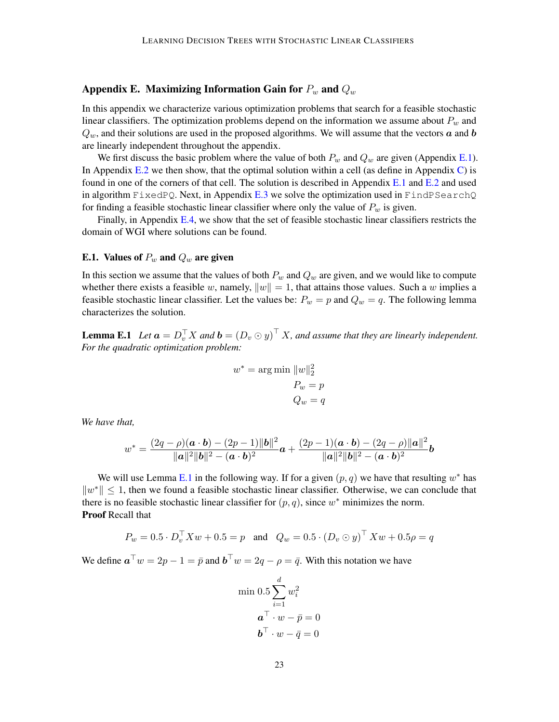# Appendix E. Maximizing Information Gain for  $P_w$  and  $Q_w$

In this appendix we characterize various optimization problems that search for a feasible stochastic linear classifiers. The optimization problems depend on the information we assume about  $P_w$  and  $Q_w$ , and their solutions are used in the proposed algorithms. We will assume that the vectors  $\boldsymbol{a}$  and  $\boldsymbol{b}$ are linearly independent throughout the appendix.

We first discuss the basic problem where the value of both  $P_w$  and  $Q_w$  are given (Appendix [E.1\)](#page-22-1). In Appendix  $E.2$  we then show, that the optimal solution within a cell (as define in Appendix [C\)](#page-15-0) is found in one of the corners of that cell. The solution is described in Appendix  $E.1$  and  $E.2$  and used in algorithm  $\tt{FixedPQ}$ . Next, in Appendix [E.3](#page-25-0) we solve the optimization used in  $\tt{FindPSearchQ}$ for finding a feasible stochastic linear classifier where only the value of  $P_w$  is given.

Finally, in Appendix [E.4,](#page-27-0) we show that the set of feasible stochastic linear classifiers restricts the domain of WGI where solutions can be found.

### <span id="page-22-1"></span>E.1. Values of  $P_w$  and  $Q_w$  are given

In this section we assume that the values of both  $P_w$  and  $Q_w$  are given, and we would like to compute whether there exists a feasible w, namely,  $||w|| = 1$ , that attains those values. Such a w implies a feasible stochastic linear classifier. Let the values be:  $P_w = p$  and  $Q_w = q$ . The following lemma characterizes the solution.

<span id="page-22-0"></span>**Lemma E.1** Let  $\mathbf{a} = D_v^{\top} X$  and  $\mathbf{b} = (D_v \odot y)^{\top} X$ , and assume that they are linearly independent. *For the quadratic optimization problem:*

$$
w^* = \arg\min \|w\|_2^2
$$
  

$$
P_w = p
$$
  

$$
Q_w = q
$$

*We have that,*

$$
w^* = \frac{(2q - \rho)(\mathbf{a} \cdot \mathbf{b}) - (2p - 1)||\mathbf{b}||^2}{\|\mathbf{a}\|^2 \|\mathbf{b}\|^2 - (\mathbf{a} \cdot \mathbf{b})^2} \mathbf{a} + \frac{(2p - 1)(\mathbf{a} \cdot \mathbf{b}) - (2q - \rho)||\mathbf{a}||^2}{\|\mathbf{a}\|^2 \|\mathbf{b}\|^2 - (\mathbf{a} \cdot \mathbf{b})^2} \mathbf{b}
$$

We will use Lemma [E.1](#page-22-0) in the following way. If for a given  $(p, q)$  we have that resulting  $w^*$  has  $||w^*|| \leq 1$ , then we found a feasible stochastic linear classifier. Otherwise, we can conclude that there is no feasible stochastic linear classifier for  $(p, q)$ , since  $w^*$  minimizes the norm. Proof Recall that

$$
P_w = 0.5 \cdot D_v^{\top} X w + 0.5 = p
$$
 and  $Q_w = 0.5 \cdot (D_v \odot y)^{\top} X w + 0.5 \rho = q$ 

We define  $\mathbf{a}^\top w = 2p - 1 = \bar{p}$  and  $\mathbf{b}^\top w = 2q - \rho = \bar{q}$ . With this notation we have

$$
\begin{aligned}\n\min 0.5 \sum_{i=1}^{d} w_i^2 \\
a^\top \cdot w - \bar{p} &= 0 \\
b^\top \cdot w - \bar{q} &= 0\n\end{aligned}
$$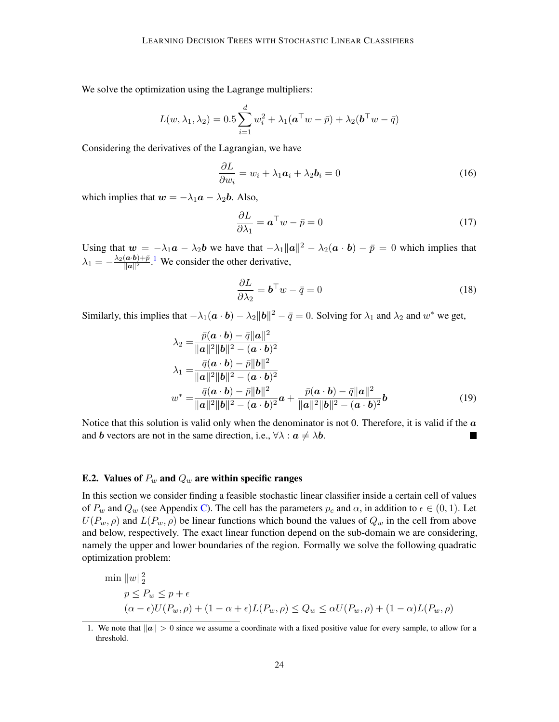We solve the optimization using the Lagrange multipliers:

$$
L(w, \lambda_1, \lambda_2) = 0.5 \sum_{i=1}^d w_i^2 + \lambda_1 (\boldsymbol{a}^\top w - \bar{p}) + \lambda_2 (\boldsymbol{b}^\top w - \bar{q})
$$

Considering the derivatives of the Lagrangian, we have

$$
\frac{\partial L}{\partial w_i} = w_i + \lambda_1 a_i + \lambda_2 b_i = 0 \tag{16}
$$

which implies that  $w = -\lambda_1 a - \lambda_2 b$ . Also,

$$
\frac{\partial L}{\partial \lambda_1} = \boldsymbol{a}^\top w - \bar{p} = 0 \tag{17}
$$

Using that  $w = -\lambda_1 a - \lambda_2 b$  we have that  $-\lambda_1 ||a||^2 - \lambda_2 (a \cdot b) - \bar{p} = 0$  which implies that  $\lambda_1 = -\frac{\lambda_2(a \cdot b) + \bar{p}}{\|a\|^2}$  $\frac{(\mathbf{a} \cdot \mathbf{b}) + \overline{p}}{\|\mathbf{a}\|^2}$ . We consider the other derivative,

$$
\frac{\partial L}{\partial \lambda_2} = \mathbf{b}^\top w - \bar{q} = 0 \tag{18}
$$

Similarly, this implies that  $-\lambda_1(a \cdot b) - \lambda_2 ||b||^2 - \bar{q} = 0$ . Solving for  $\lambda_1$  and  $\lambda_2$  and  $w^*$  we get,

$$
\lambda_2 = \frac{\bar{p}(\mathbf{a} \cdot \mathbf{b}) - \bar{q}||\mathbf{a}||^2}{\|\mathbf{a}\|^2 \|\mathbf{b}\|^2 - (\mathbf{a} \cdot \mathbf{b})^2}
$$
\n
$$
\lambda_1 = \frac{\bar{q}(\mathbf{a} \cdot \mathbf{b}) - \bar{p}||\mathbf{b}||^2}{\|\mathbf{a}\|^2 \|\mathbf{b}\|^2 - (\mathbf{a} \cdot \mathbf{b})^2}
$$
\n
$$
w^* = \frac{\bar{q}(\mathbf{a} \cdot \mathbf{b}) - \bar{p}||\mathbf{b}||^2}{\|\mathbf{a}\|^2 \|\mathbf{b}\|^2 - (\mathbf{a} \cdot \mathbf{b})^2} \mathbf{a} + \frac{\bar{p}(\mathbf{a} \cdot \mathbf{b}) - \bar{q}||\mathbf{a}||^2}{\|\mathbf{a}\|^2 \|\mathbf{b}\|^2 - (\mathbf{a} \cdot \mathbf{b})^2} \mathbf{b}
$$
\n(19)

Notice that this solution is valid only when the denominator is not 0. Therefore, it is valid if the  $a$ and b vectors are not in the same direction, i.e.,  $\forall \lambda : a \neq \lambda b$ .

#### <span id="page-23-0"></span>E.2. Values of  $P_w$  and  $Q_w$  are within specific ranges

In this section we consider finding a feasible stochastic linear classifier inside a certain cell of values of  $P_w$  and  $Q_w$  (see Appendix [C\)](#page-15-0). The cell has the parameters  $p_c$  and  $\alpha$ , in addition to  $\epsilon \in (0,1)$ . Let  $U(P_w, \rho)$  and  $L(P_w, \rho)$  be linear functions which bound the values of  $Q_w$  in the cell from above and below, respectively. The exact linear function depend on the sub-domain we are considering, namely the upper and lower boundaries of the region. Formally we solve the following quadratic optimization problem:

$$
\min \|w\|_2^2
$$
  
\n
$$
p \le P_w \le p + \epsilon
$$
  
\n
$$
(\alpha - \epsilon)U(P_w, \rho) + (1 - \alpha + \epsilon)L(P_w, \rho) \le Q_w \le \alpha U(P_w, \rho) + (1 - \alpha)L(P_w, \rho)
$$

<span id="page-23-1"></span><sup>1.</sup> We note that  $||a|| > 0$  since we assume a coordinate with a fixed positive value for every sample, to allow for a threshold.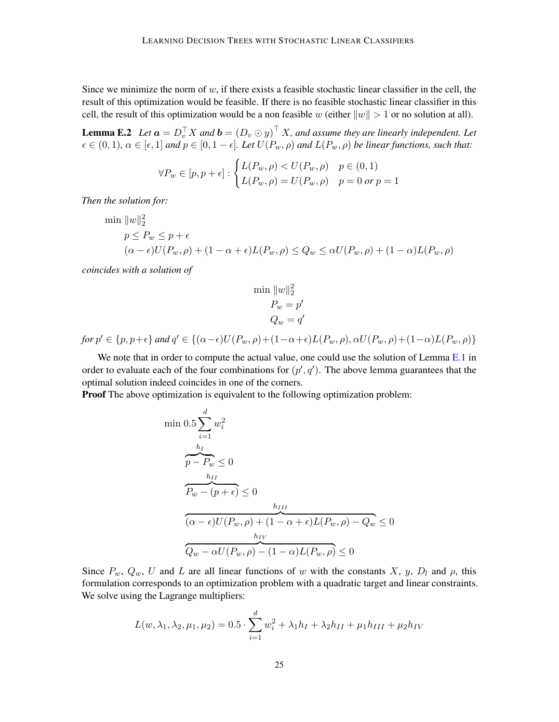Since we minimize the norm of  $w$ , if there exists a feasible stochastic linear classifier in the cell, the result of this optimization would be feasible. If there is no feasible stochastic linear classifier in this cell, the result of this optimization would be a non feasible w (either  $||w|| > 1$  or no solution at all).

**Lemma E.2** Let  $\boldsymbol{a} = D_v^{\top} X$  and  $\boldsymbol{b} = (D_v \odot y)^{\top} X$ , and assume they are linearly independent. Let  $\epsilon \in (0, 1)$ ,  $\alpha \in [\epsilon, 1]$  *and*  $p \in [0, 1 - \epsilon]$ . Let  $U(P_w, \rho)$  *and*  $L(P_w, \rho)$  *be linear functions, such that:* 

$$
\forall P_w \in [p, p + \epsilon] : \begin{cases} L(P_w, \rho) & p \in (0, 1) \\ L(P_w, \rho) = U(P_w, \rho) & p = 0 \text{ or } p = 1 \end{cases}
$$

*Then the solution for:*

$$
\min \|w\|_2^2
$$
  
\n
$$
p \le P_w \le p + \epsilon
$$
  
\n
$$
(\alpha - \epsilon)U(P_w, \rho) + (1 - \alpha + \epsilon)L(P_w, \rho) \le Q_w \le \alpha U(P_w, \rho) + (1 - \alpha)L(P_w, \rho)
$$

*coincides with a solution of*

$$
\min \|w\|_2^2
$$

$$
P_w = p'
$$

$$
Q_w = q'
$$

 $for p' \in \{p, p+\epsilon\}$  and  $q' \in \{(\alpha-\epsilon)U(P_w, \rho)+(1-\alpha+\epsilon)L(P_w, \rho), \alpha U(P_w, \rho)+(1-\alpha)L(P_w, \rho)\}$ 

We note that in order to compute the actual value, one could use the solution of Lemma [E.1](#page-22-0) in order to evaluate each of the four combinations for  $(p', q')$ . The above lemma guarantees that the optimal solution indeed coincides in one of the corners.

**Proof** The above optimization is equivalent to the following optimization problem:

$$
\begin{aligned}\n\min 0.5 \sum_{i=1}^{d} w_i^2 \\
\frac{h_I}{p - P_w} &\le 0 \\
\frac{h_{II}}{P_w - (p + \epsilon)} &\le 0 \\
\frac{h_{III}}{(\alpha - \epsilon)U(P_w, \rho) + (1 - \alpha + \epsilon)L(P_w, \rho) - Q_w} &\le 0 \\
\frac{h_{IV}}{Q_w - \alpha U(P_w, \rho) - (1 - \alpha)L(P_w, \rho)} &\le 0\n\end{aligned}
$$

Since  $P_w$ ,  $Q_w$ , U and L are all linear functions of w with the constants X, y,  $D_l$  and  $\rho$ , this formulation corresponds to an optimization problem with a quadratic target and linear constraints. We solve using the Lagrange multipliers:

$$
L(w, \lambda_1, \lambda_2, \mu_1, \mu_2) = 0.5 \cdot \sum_{i=1}^{d} w_i^2 + \lambda_1 h_I + \lambda_2 h_{II} + \mu_1 h_{III} + \mu_2 h_{IV}
$$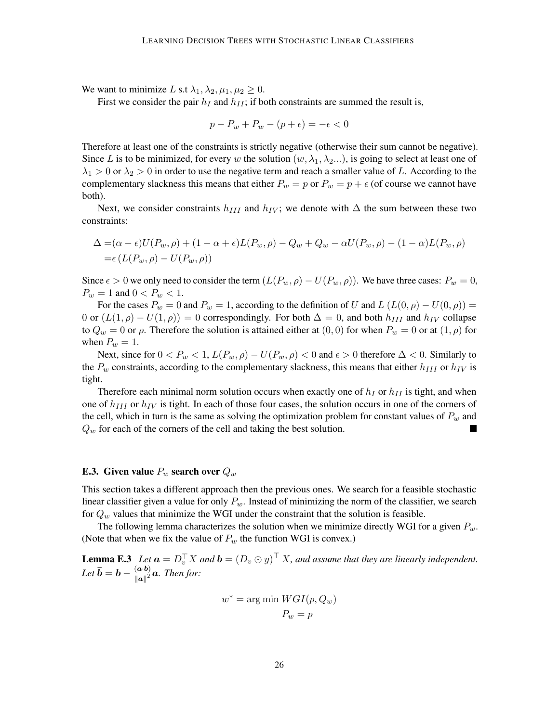We want to minimize L s.t  $\lambda_1, \lambda_2, \mu_1, \mu_2 \geq 0$ .

First we consider the pair  $h_I$  and  $h_{II}$ ; if both constraints are summed the result is,

$$
p - P_w + P_w - (p + \epsilon) = -\epsilon < 0
$$

Therefore at least one of the constraints is strictly negative (otherwise their sum cannot be negative). Since L is to be minimized, for every w the solution  $(w, \lambda_1, \lambda_2, ...)$ , is going to select at least one of  $\lambda_1 > 0$  or  $\lambda_2 > 0$  in order to use the negative term and reach a smaller value of L. According to the complementary slackness this means that either  $P_w = p$  or  $P_w = p + \epsilon$  (of course we cannot have both).

Next, we consider constraints  $h_{III}$  and  $h_{IV}$ ; we denote with  $\Delta$  the sum between these two constraints:

$$
\Delta = (\alpha - \epsilon)U(P_w, \rho) + (1 - \alpha + \epsilon)L(P_w, \rho) - Q_w + Q_w - \alpha U(P_w, \rho) - (1 - \alpha)L(P_w, \rho)
$$
  
=  $\epsilon (L(P_w, \rho) - U(P_w, \rho))$ 

Since  $\epsilon > 0$  we only need to consider the term  $(L(P_w, \rho) - U(P_w, \rho))$ . We have three cases:  $P_w = 0$ ,  $P_w = 1$  and  $0 < P_w < 1$ .

For the cases  $P_w = 0$  and  $P_w = 1$ , according to the definition of U and  $L (L(0, \rho) - U(0, \rho)) =$ 0 or  $(L(1,\rho) - U(1,\rho)) = 0$  correspondingly. For both  $\Delta = 0$ , and both  $h_{III}$  and  $h_{IV}$  collapse to  $Q_w = 0$  or  $\rho$ . Therefore the solution is attained either at  $(0,0)$  for when  $P_w = 0$  or at  $(1,\rho)$  for when  $P_w = 1$ .

Next, since for  $0 < P_w < 1$ ,  $L(P_w, \rho) - U(P_w, \rho) < 0$  and  $\epsilon > 0$  therefore  $\Delta < 0$ . Similarly to the  $P_w$  constraints, according to the complementary slackness, this means that either  $h_{III}$  or  $h_{IV}$  is tight.

Therefore each minimal norm solution occurs when exactly one of  $h_I$  or  $h_{II}$  is tight, and when one of  $h_{III}$  or  $h_{IV}$  is tight. In each of those four cases, the solution occurs in one of the corners of the cell, which in turn is the same as solving the optimization problem for constant values of  $P_w$  and  $Q_w$  for each of the corners of the cell and taking the best solution.

## <span id="page-25-0"></span>**E.3.** Given value  $P_w$  search over  $Q_w$

This section takes a different approach then the previous ones. We search for a feasible stochastic linear classifier given a value for only  $P_w$ . Instead of minimizing the norm of the classifier, we search for  $Q_w$  values that minimize the WGI under the constraint that the solution is feasible.

The following lemma characterizes the solution when we minimize directly WGI for a given  $P_w$ . (Note that when we fix the value of  $P_w$  the function WGI is convex.)

**Lemma E.3** Let  $\mathbf{a} = D_v^{\top} X$  and  $\mathbf{b} = (D_v \odot y)^{\top} X$ , and assume that they are linearly independent. Let  $\bar{b} = b - \frac{(a \cdot b)}{||a||^2}$  $\frac{a \cdot b}{\|a\|^2} a$ . Then for:

$$
w^* = \arg\min\,WGI(p,Q_w)\\ P_w = p
$$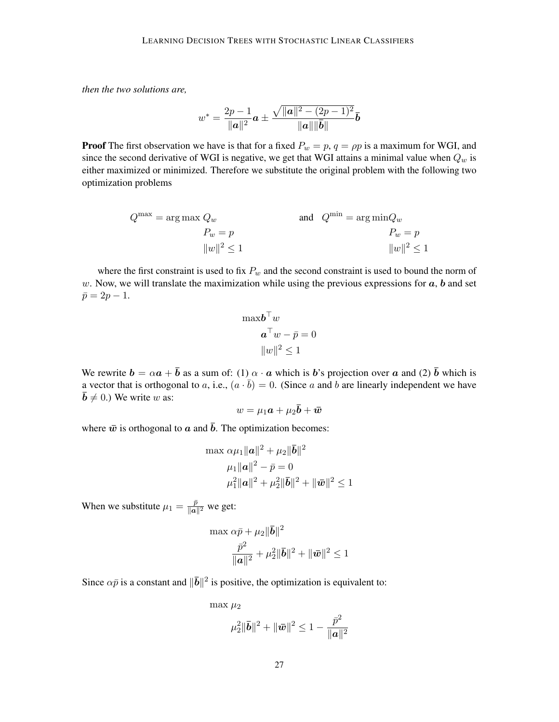*then the two solutions are,*

$$
w^* = \frac{2p-1}{\|\mathbf{a}\|^2} \mathbf{a} \pm \frac{\sqrt{\|\mathbf{a}\|^2 - (2p-1)^2}}{\|\mathbf{a}\| \|\mathbf{b}\|} \mathbf{b}
$$

**Proof** The first observation we have is that for a fixed  $P_w = p$ ,  $q = \rho p$  is a maximum for WGI, and since the second derivative of WGI is negative, we get that WGI attains a minimal value when  $Q_w$  is either maximized or minimized. Therefore we substitute the original problem with the following two optimization problems

$$
Q^{\max} = \arg \max Q_w
$$
  
\n
$$
P_w = p
$$
  
\n
$$
||w||^2 \le 1
$$
  
\nand 
$$
Q^{\min} = \arg \min Q_w
$$
  
\n
$$
P_w = p
$$
  
\n
$$
||w||^2 \le 1
$$

where the first constraint is used to fix  $P_w$  and the second constraint is used to bound the norm of w. Now, we will translate the maximization while using the previous expressions for  $a, b$  and set  $\bar{p} = 2p - 1.$ 

$$
\max \boldsymbol{b}^{\top} w
$$

$$
\boldsymbol{a}^{\top} w - \bar{p} = 0
$$

$$
||w||^2 \le 1
$$

We rewrite  $\mathbf{b} = \alpha \mathbf{a} + \mathbf{b}$  as a sum of: (1)  $\alpha \cdot \mathbf{a}$  which is b's projection over  $\mathbf{a}$  and (2)  $\mathbf{b}$  which is a vector that is orthogonal to a, i.e.,  $(a \cdot \bar{b}) = 0$ . (Since a and b are linearly independent we have  $\bar{b} \neq 0$ .) We write w as:

$$
w = \mu_1 \bm{a} + \mu_2 \bar{\bm{b}} + \bar{\bm{w}}
$$

where  $\bar{w}$  is orthogonal to  $\bar{a}$  and  $\bar{b}$ . The optimization becomes:

$$
\max \alpha \mu_1 ||\mathbf{a}||^2 + \mu_2 ||\mathbf{\bar{b}}||^2
$$
  

$$
\mu_1 ||\mathbf{a}||^2 - \bar{p} = 0
$$
  

$$
\mu_1^2 ||\mathbf{a}||^2 + \mu_2^2 ||\mathbf{\bar{b}}||^2 + ||\mathbf{\bar{w}}||^2 \le 1
$$

When we substitute  $\mu_1 = \frac{\bar{p}}{\|\mathbf{a}\|}$  $\frac{p}{\| \boldsymbol{a} \|^2}$  we get:

$$
\max \alpha \bar{p} + \mu_2 \|\bar{\mathbf{b}}\|^2
$$

$$
\frac{\bar{p}^2}{\|\mathbf{a}\|^2} + \mu_2^2 \|\bar{\mathbf{b}}\|^2 + \|\bar{\mathbf{w}}\|^2 \le 1
$$

Since  $\alpha \bar{p}$  is a constant and  $\|\bar{b}\|^2$  is positive, the optimization is equivalent to:

max  $\mu_2$ 

$$
\mu_2^2 \|\bar{\textbf{b}}\|^2 + \|\bar{\textbf{w}}\|^2 \leq 1 - \frac{\bar{p}^2}{\|\textbf{a}\|^2}
$$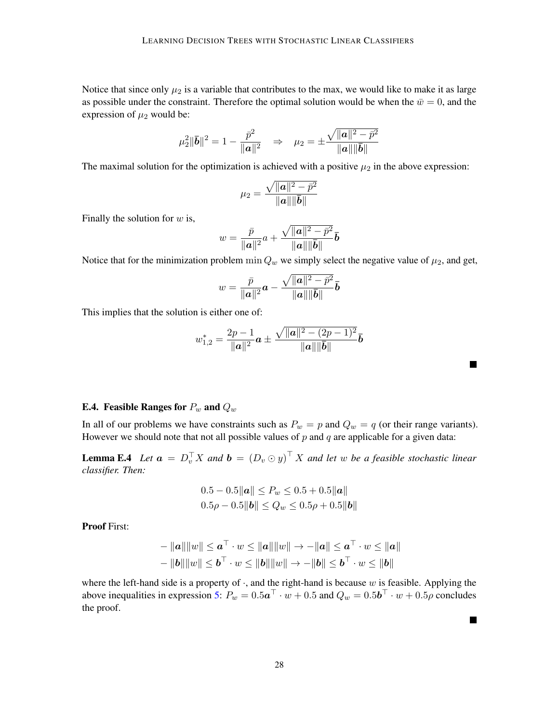Notice that since only  $\mu_2$  is a variable that contributes to the max, we would like to make it as large as possible under the constraint. Therefore the optimal solution would be when the  $\bar{w} = 0$ , and the expression of  $\mu_2$  would be:

$$
\mu_2^2 \|\bar{\bm{b}}\|^2 = 1 - \frac{\bar{p}^2}{\|\bm{a}\|^2} \quad \Rightarrow \quad \mu_2 = \pm \frac{\sqrt{\|\bm{a}\|^2 - \bar{p}^2}}{\|\bm{a}\| \|\bar{\bm{b}}\|}
$$

The maximal solution for the optimization is achieved with a positive  $\mu_2$  in the above expression:

$$
\mu_2 = \frac{\sqrt{\|{\bm{a}}\|^2-\bar{p}^2}}{\|{\bm{a}}\|\|\bar{\bm{b}}\|}
$$

Finally the solution for  $w$  is,

$$
w = \frac{\bar{p}}{\|\mathbf{a}\|^2}a + \frac{\sqrt{\|\mathbf{a}\|^2-\bar{p}^2}}{\|\mathbf{a}\|\|\bar{\mathbf{b}}\|}\bar{\mathbf{b}}
$$

Notice that for the minimization problem min  $Q_w$  we simply select the negative value of  $\mu_2$ , and get,

$$
w=\frac{\bar{p}}{\|\boldsymbol{a}\|^2}\boldsymbol{a}-\frac{\sqrt{\|\boldsymbol{a}\|^2-\bar{p}^2}}{\|\boldsymbol{a}\|\|\bar{\boldsymbol{b}}\|}\bar{\boldsymbol{b}}
$$

This implies that the solution is either one of:

$$
w_{1,2}^* = \frac{2p-1}{\|a\|^2} a \pm \frac{\sqrt{\|a\|^2 - (2p-1)^2}}{\|a\| \|\bar{b}\|} \bar{b}
$$

■

## <span id="page-27-0"></span>**E.4.** Feasible Ranges for  $P_w$  and  $Q_w$

In all of our problems we have constraints such as  $P_w = p$  and  $Q_w = q$  (or their range variants). However we should note that not all possible values of  $p$  and  $q$  are applicable for a given data:

**Lemma E.4** Let  $\boldsymbol{a} = D_v^{\top} X$  and  $\boldsymbol{b} = (D_v \odot y)^{\top} X$  and let w be a feasible stochastic linear *classifier. Then:*

$$
0.5 - 0.5||a|| \le P_w \le 0.5 + 0.5||a||
$$
  

$$
0.5\rho - 0.5||b|| \le Q_w \le 0.5\rho + 0.5||b||
$$

Proof First:

$$
-\|a\|\|w\| \le a^{\top} \cdot w \le \|a\|\|w\| \to -\|a\| \le a^{\top} \cdot w \le \|a\|
$$
  

$$
-\|b\|\|w\| \le b^{\top} \cdot w \le \|b\|\|w\| \to -\|b\| \le b^{\top} \cdot w \le \|b\|
$$

where the left-hand side is a property of  $\cdot$ , and the right-hand is because w is feasible. Applying the above inequalities in expression [5:](#page-5-2)  $P_w = 0.5a^{\top} \cdot w + 0.5$  and  $Q_w = 0.5b^{\top} \cdot w + 0.5\rho$  concludes the proof.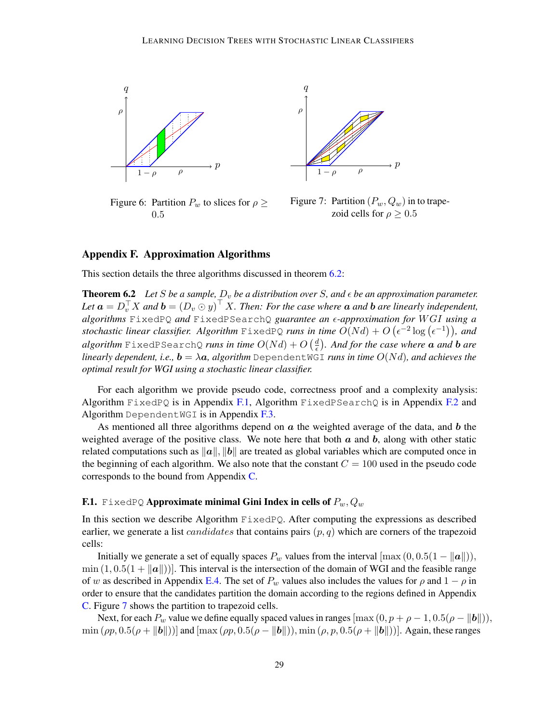

<span id="page-28-1"></span>Figure 6: Partition  $P_w$  to slices for  $\rho \geq$ 0.5



<span id="page-28-0"></span>Figure 7: Partition  $(P_w, Q_w)$  in to trapezoid cells for  $\rho > 0.5$ 

### <span id="page-28-2"></span>Appendix F. Approximation Algorithms

This section details the three algorithms discussed in theorem [6.2:](#page-6-1)

**Theorem 6.2** Let S be a sample,  $D_v$  be a distribution over S, and  $\epsilon$  be an approximation parameter. Let  $\bm{a} = D_v^{\top} X$  and  $\bm{b} = (D_v \odot y)^{\top} X$ . Then: For the case where  $\bm{a}$  and  $\bm{b}$  are linearly independent, *algorithms* FixedPQ *and* FixedPSearchQ *guarantee an -approximation for* W GI *using a* stochastic linear classifier. Algorithm  $\text{FixedPQ}$  runs in time  $O(Nd) + O\left(\epsilon^{-2}\log\left(\epsilon^{-1}\right)\right)$ , and  $algorithm$  FixedPSearchQ *runs in time*  $O(Nd) + O\left(\frac{d}{\epsilon}\right)$  *. And for the case where* a *and* b *are linearly dependent, i.e.,*  $\mathbf{b} = \lambda \mathbf{a}$ *, algorithm* DependentWGI *runs in time*  $O(Nd)$ *, and achieves the optimal result for WGI using a stochastic linear classifier.*

For each algorithm we provide pseudo code, correctness proof and a complexity analysis: Algorithm  $FixedPQ$  is in Appendix [F.1,](#page-28-3) Algorithm  $FixedPSearchQ$  is in Appendix [F.2](#page-31-0) and Algorithm DependentWGI is in Appendix [F.3.](#page-33-1)

As mentioned all three algorithms depend on  $\alpha$  the weighted average of the data, and  $\dot{\bf{b}}$  the weighted average of the positive class. We note here that both  $a$  and  $b$ , along with other static related computations such as  $||a||, ||b||$  are treated as global variables which are computed once in the beginning of each algorithm. We also note that the constant  $C = 100$  used in the pseudo code corresponds to the bound from Appendix [C.](#page-15-0)

# <span id="page-28-3"></span>F.1. FixedPQ Approximate minimal Gini Index in cells of  $P_w, Q_w$

In this section we describe Algorithm  $FixedPQ$ . After computing the expressions as described earlier, we generate a list *candidates* that contains pairs  $(p, q)$  which are corners of the trapezoid cells:

Initially we generate a set of equally spaces  $P_w$  values from the interval  $[\max(0, 0.5(1 - ||a||)),$  $\min (1, 0.5(1 + ||a||))$ . This interval is the intersection of the domain of WGI and the feasible range of w as described in Appendix [E.4.](#page-27-0) The set of  $P_w$  values also includes the values for  $\rho$  and  $1 - \rho$  in order to ensure that the candidates partition the domain according to the regions defined in Appendix [C.](#page-15-0) Figure [7](#page-28-0) shows the partition to trapezoid cells.

Next, for each  $P_w$  value we define equally spaced values in ranges  $[\max (0, p + \rho - 1, 0.5(\rho - ||b||)),$  $\min(\rho p, 0.5(\rho + ||\boldsymbol{b}||))$  and  $[\max(\rho p, 0.5(\rho - ||\boldsymbol{b}||)), \min(\rho, p, 0.5(\rho + ||\boldsymbol{b}||))]$ . Again, these ranges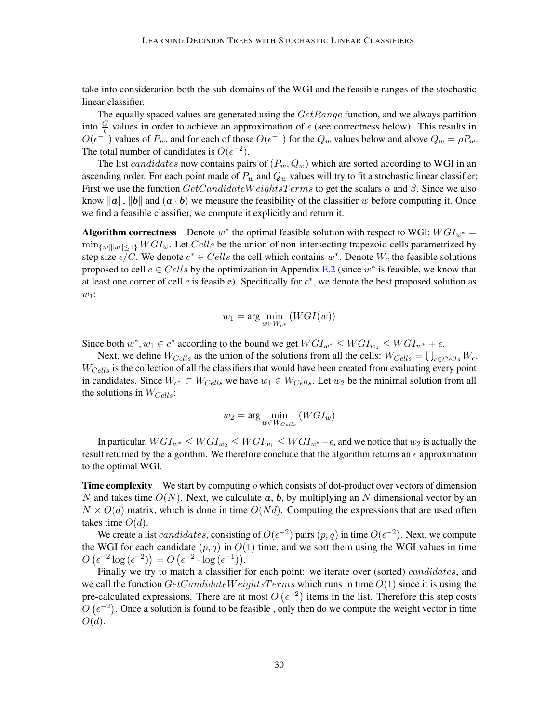take into consideration both the sub-domains of the WGI and the feasible ranges of the stochastic linear classifier.

The equally spaced values are generated using the  $GetRange$  function, and we always partition into  $\frac{C}{\epsilon}$  values in order to achieve an approximation of  $\epsilon$  (see correctness below). This results in  $O(\epsilon^{-1})$  values of  $P_w$ , and for each of those  $O(\epsilon^{-1})$  for the  $Q_w$  values below and above  $Q_w = \rho P_w$ . The total number of candidates is  $O(\epsilon^{-2})$ .

The list candidates now contains pairs of  $(P_w, Q_w)$  which are sorted according to WGI in an ascending order. For each point made of  $P_w$  and  $Q_w$  values will try to fit a stochastic linear classifier: First we use the function  $GetC and idateWeights Terms$  to get the scalars  $\alpha$  and  $\beta$ . Since we also know  $\|\boldsymbol{a}\|$ ,  $\|\boldsymbol{b}\|$  and  $(\boldsymbol{a} \cdot \boldsymbol{b})$  we measure the feasibility of the classifier w before computing it. Once we find a feasible classifier, we compute it explicitly and return it.

Algorithm correctness Denote  $w^*$  the optimal feasible solution with respect to WGI:  $WGI_{w^*} =$  $\min_{w \in \{w\}} WGL_w$ . Let Cells be the union of non-intersecting trapezoid cells parametrized by step size  $\epsilon \overline{/}C$ . We denote  $c^* \in Cells$  the cell which contains  $w^*$ . Denote  $W_c$  the feasible solutions proposed to cell  $c \in Cells$  by the optimization in Appendix [E.2](#page-23-0) (since  $w^*$  is feasible, we know that at least one corner of cell  $c$  is feasible). Specifically for  $c^*$ , we denote the best proposed solution as  $w_1$ :

$$
w_1 = \arg\min_{w \in W_{c^*}} (WGI(w))
$$

Since both  $w^*$ ,  $w_1 \in c^*$  according to the bound we get  $WGI_{w^*} \leq WGI_{w_1} \leq WGI_{w^*} + \epsilon$ .

Next, we define  $W_{Cells}$  as the union of the solutions from all the cells:  $W_{Cells} = \bigcup_{c \in Cells} W_c$ .  $W_{Cells}$  is the collection of all the classifiers that would have been created from evaluating every point in candidates. Since  $W_{c^*} \subset W_{Cells}$  we have  $w_1 \in W_{Cells}$ . Let  $w_2$  be the minimal solution from all the solutions in  $W_{Cells}$ :

$$
w_2 = \arg\min_{w \in W_{Cells}} (WGI_w)
$$

In particular,  $WGI_{w^*} \leq WGI_{w_2} \leq WGI_{w_1} \leq WGI_{w^*} + \epsilon$ , and we notice that  $w_2$  is actually the result returned by the algorithm. We therefore conclude that the algorithm returns an  $\epsilon$  approximation to the optimal WGI.

**Time complexity** We start by computing  $\rho$  which consists of dot-product over vectors of dimension N and takes time  $O(N)$ . Next, we calculate a, b, by multiplying an N dimensional vector by an  $N \times O(d)$  matrix, which is done in time  $O(Nd)$ . Computing the expressions that are used often takes time  $O(d)$ .

We create a list *candidates*, consisting of  $O(\epsilon^{-2})$  pairs  $(p, q)$  in time  $O(\epsilon^{-2})$ . Next, we compute the WGI for each candidate  $(p, q)$  in  $O(1)$  time, and we sort them using the WGI values in time  $O\left(\epsilon^{-2}\log\left(\epsilon^{-2}\right)\right) = O\left(\epsilon^{-2}\cdot\log\left(\epsilon^{-1}\right)\right).$ 

Finally we try to match a classifier for each point: we iterate over (sorted) *candidates*, and we call the function  $GetCandidateWeightsTerms$  which runs in time  $O(1)$  since it is using the pre-calculated expressions. There are at most  $O(\epsilon^{-2})$  items in the list. Therefore this step costs  $O(\epsilon^{-2})$ . Once a solution is found to be feasible, only then do we compute the weight vector in time  $O(d).$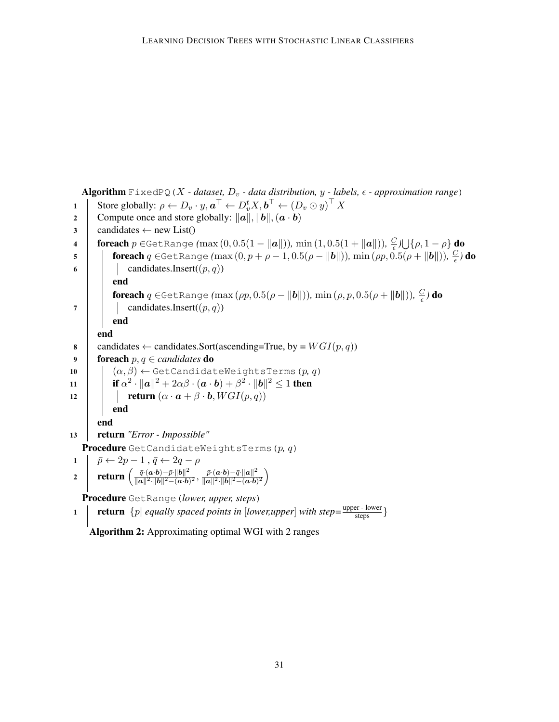```
Algorithm FixedPQ(X - dataset, D_v - data distribution, y - labels, \epsilon - approximation range)
  1 Store globally: \rho \leftarrow D_v \cdot y, \boldsymbol{a}^\top \leftarrow D_v^t X, \boldsymbol{b}^\top \leftarrow (D_v \odot y)^\top X2 Compute once and store globally: ||a||, ||b||, (a \cdot b)3 \mid \text{candidates} \leftarrow \text{new List}()4 foreach p \in GetRange (max (0, 0.5(1 − ||a||)), min (1, 0.5(1 + ||a||)), \frac{C}{e}\frac{C}{\epsilon})\bigcup {\rho, 1 – \rho} do
  5 foreach q \in \text{GetRange}(\max(0, p + \rho - 1, 0.5(\rho - ||b||)), \min(\rho p, 0.5(\rho + ||b||)), \frac{C}{\epsilon})\frac{C}{\epsilon}) do
 6 candidates.Insert((p, q))end
                  foreach q ∈GetRange (\max{( \rho p, 0.5(\rho - \| \pmb{b} \|))}, \min{( \rho, p, 0.5(\rho + \| \pmb{b} \|))}, \frac{C}{\epsilon})\frac{C}{\epsilon}) do
 7 \mid candidates.Insert((p, q))end
           end
 8 candidates \leftarrow candidates. Sort(ascending=True, by = WGI(p, q))
 9 foreach p, q \in candidates do
10 (\alpha, \beta) \leftarrow \text{GetCandidateWeightsTerms}(p, q)11 if \alpha^2 \cdot ||\boldsymbol{a}||^2 + 2\alpha\beta \cdot (\boldsymbol{a} \cdot \boldsymbol{b}) + \beta^2 \cdot ||\boldsymbol{b}||^2 \le 1 then
12 return (\alpha \cdot \mathbf{a} + \beta \cdot \mathbf{b}, WGI(p,q))end
           end
13 return "Error - Impossible"
     Procedure GetCandidateWeightsTerms(p, q)
 1 \mid \bar{p} \leftarrow 2p - 1 \,, \bar{q} \leftarrow 2q - \rho2 return \left(\frac{\bar{q} \cdot (a \cdot b) - \bar{p} \cdot ||b||^2}{||a||^2 ||b||^2 - (a \cdot b)}\right)\frac{\bar{q}\cdot(\bm{a}\!\cdot\!\bm{b})\!-\!\bar{p}\!\cdot\!\|\bm{b}\|^2}{\|\bm{a}\|^2\cdot\!\|\bm{b}\|^2\!-\!(\bm{a}\!\cdot\!\bm{b})^2},\, \frac{\bar{p}\!\cdot\!(\bm{a}\!\cdot\!\bm{b})\!-\!\bar{q}\!\cdot\!\|\bm{a}\|^2}{\|\bm{a}\|^2\cdot\!\|\bm{b}\|^2\!-\!(\bm{a}\!\cdot\!\bm{b})}\frac{\bar{p}\cdot(\bm{a}\!\cdot\!\bm{b})\!-\!\bar{q}\!\cdot\!\|\bm{a}\|^2}{\|\bm{a}\|^2\cdot\!\|\bm{b}\|^2\!-\!(\bm{a}\!\cdot\!\bm{b})^2}\bigg)Procedure GetRange(lower, upper, steps)
  1 return \{p | equally spaced points in [lower,upper] with step=\frac{upper - lower}{steps}}
```
Algorithm 2: Approximating optimal WGI with 2 ranges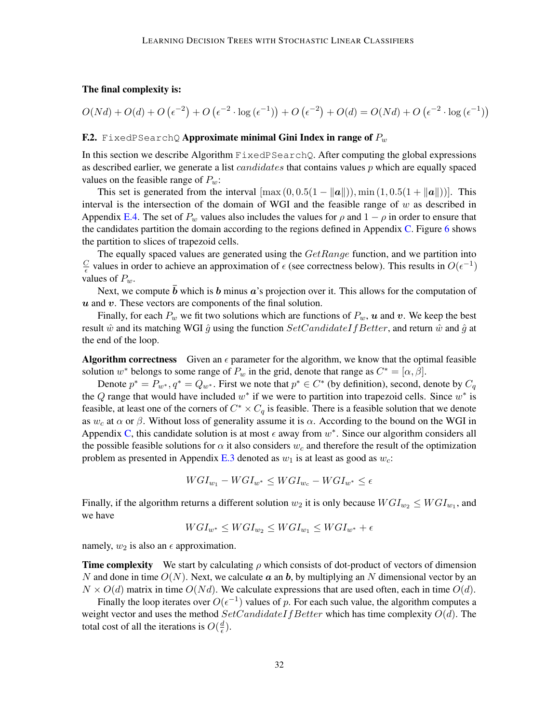## The final complexity is:

$$
O(Nd) + O(d) + O\left(\epsilon^{-2}\right) + O\left(\epsilon^{-2} \cdot \log\left(\epsilon^{-1}\right)\right) + O\left(\epsilon^{-2}\right) + O(d) = O(Nd) + O\left(\epsilon^{-2} \cdot \log\left(\epsilon^{-1}\right)\right)
$$

#### <span id="page-31-0"></span>**F.2.** FixedPSearchQ **Approximate minimal Gini Index in range of**  $P_w$

In this section we describe Algorithm FixedPSearchQ. After computing the global expressions as described earlier, we generate a list *candidates* that contains values  $p$  which are equally spaced values on the feasible range of  $P_w$ :

This set is generated from the interval  $[\max(0, 0.5(1 - ||\boldsymbol{a}||)), \min(1, 0.5(1 + ||\boldsymbol{a}||))]$ . This interval is the intersection of the domain of WGI and the feasible range of  $w$  as described in Appendix [E.4.](#page-27-0) The set of  $P_w$  values also includes the values for  $\rho$  and  $1 - \rho$  in order to ensure that the candidates partition the domain according to the regions defined in Appendix [C.](#page-15-0) Figure [6](#page-28-1) shows the partition to slices of trapezoid cells.

The equally spaced values are generated using the  $GetRange$  function, and we partition into  $\overline{C}$  $\frac{C}{\epsilon}$  values in order to achieve an approximation of  $\epsilon$  (see correctness below). This results in  $O(\epsilon^{-1})$ values of  $P_w$ .

Next, we compute  $\bar{b}$  which is b minus a's projection over it. This allows for the computation of  $u$  and  $v$ . These vectors are components of the final solution.

Finally, for each  $P_w$  we fit two solutions which are functions of  $P_w$ , u and v. We keep the best result  $\hat{w}$  and its matching WGI  $\hat{g}$  using the function  $SetC and idateIf Better$ , and return  $\hat{w}$  and  $\hat{g}$  at the end of the loop.

**Algorithm correctness** Given an  $\epsilon$  parameter for the algorithm, we know that the optimal feasible solution  $w^*$  belongs to some range of  $P_w$  in the grid, denote that range as  $C^* = [\alpha, \beta]$ .

Denote  $p^* = P_{w^*}, q^* = Q_{w^*}$ . First we note that  $p^* \in C^*$  (by definition), second, denote by  $C_q$ the Q range that would have included  $w^*$  if we were to partition into trapezoid cells. Since  $w^*$  is feasible, at least one of the corners of  $C^* \times C_q$  is feasible. There is a feasible solution that we denote as  $w_c$  at  $\alpha$  or  $\beta$ . Without loss of generality assume it is  $\alpha$ . According to the bound on the WGI in Appendix [C,](#page-15-0) this candidate solution is at most  $\epsilon$  away from  $w^*$ . Since our algorithm considers all the possible feasible solutions for  $\alpha$  it also considers  $w_c$  and therefore the result of the optimization problem as presented in Appendix [E.3](#page-25-0) denoted as  $w_1$  is at least as good as  $w_c$ .

$$
WGI_{w_1} - WGI_{w^*} \leq WGI_{w_c} - WGI_{w^*} \leq \epsilon
$$

Finally, if the algorithm returns a different solution  $w_2$  it is only because  $WGI_{w_2} \leq WGI_{w_1}$ , and we have

$$
WGI_{w^*} \leq WGI_{w_2} \leq WGI_{w_1} \leq WGI_{w^*} + \epsilon
$$

namely,  $w_2$  is also an  $\epsilon$  approximation.

**Time complexity** We start by calculating  $\rho$  which consists of dot-product of vectors of dimension N and done in time  $O(N)$ . Next, we calculate a an b, by multiplying an N dimensional vector by an  $N \times O(d)$  matrix in time  $O(Nd)$ . We calculate expressions that are used often, each in time  $O(d)$ .

Finally the loop iterates over  $O(\epsilon^{-1})$  values of p. For each such value, the algorithm computes a weight vector and uses the method  $SetCandidateIf Better$  which has time complexity  $O(d)$ . The total cost of all the iterations is  $O(\frac{d}{\epsilon})$  $\frac{d}{\epsilon}$ ).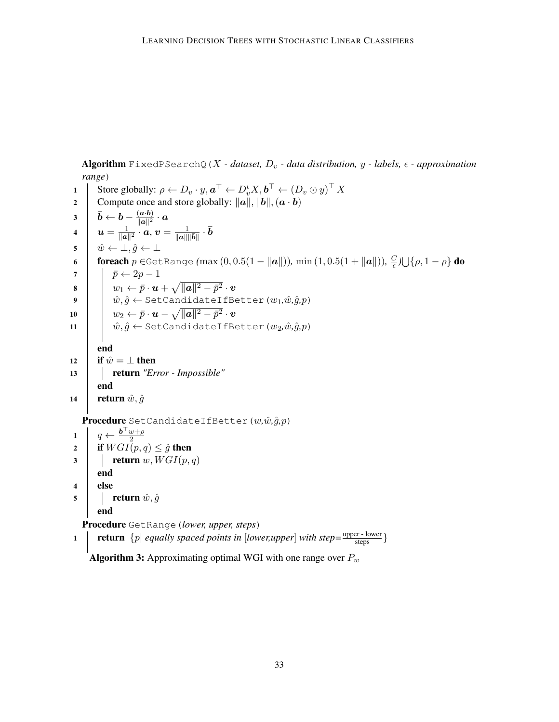Algorithm FixedPSearchQ(X - dataset,  $D_v$  - data distribution, y - labels,  $\epsilon$  - approximation *range*)

1 Store globally:  $\rho \leftarrow D_v \cdot y, \boldsymbol{a}^\top \leftarrow D_v^t X, \boldsymbol{b}^\top \leftarrow (D_v \odot y)^\top X$ 2 Compute once and store globally:  $\|\vec{a}\|, \|\vec{b}\|, (\vec{a} \cdot \vec{b})$  $\bar{\bm{b}} \leftarrow \bm{b} - \frac{(\bm{a} \cdot \bm{b})}{\|\bm{a}\|^2}$  $\frac{\left(\bm{a}\cdot\bm{b}\right)}{\|\bm{a}\|^2}\cdot\bm{a}$ 4  $u = \frac{1}{\ln a}$  $\frac{1}{\|\bm a\|^2}\cdot\hat{\bm a},\bm v=\frac{1}{\|\bm a\|\|\bm b\|}\cdot\bar{\bm b}$  $\hat{v}$   $\mapsto$   $\hat{w}$   $\leftarrow$   $\perp$ ,  $\hat{q}$   $\leftarrow$   $\perp$ 6 **foreach** p ∈GetRange (max (0, 0.5(1 − ||a||)), min (1, 0.5(1 + ||a||)),  $\frac{C}{\epsilon}$  $\frac{C}{\epsilon}$ ) $\bigcup$  { $\rho$ , 1 –  $\rho$ } do 7 |  $\bar{p} \leftarrow 2p-1$  $\begin{array}{l|c|c|c} \mathbf{s} & & w_1 \leftarrow \bar{p}\cdot\boldsymbol{u} + \sqrt{\|\boldsymbol{a}\|^2-\bar{p}^2}\cdot\boldsymbol{v} \end{array}$  $9$   $\begin{array}{|c|c|} \hline \end{array}$   $\hat{w}, \hat{g} \leftarrow$  SetCandidateIfBetter ( $w_1, \hat{w}, \hat{g}, p$ ) 10  $\|\quad w_2 \leftarrow \bar{p}\cdot\bm{u} - \sqrt{\|\bm{a}\|^2-\bar{p}^2}\cdot\bm{v}$ 11  $\hat{w}, \hat{g} \leftarrow \text{SetCandidateIfBetter}(w_2, \hat{w}, \hat{g}, p)$ end 12 if  $\hat{w} = \perp$  then 13 return *"Error - Impossible"* end 14 **return**  $\hat{w}, \hat{g}$ Procedure SetCandidateIfBetter(w, $\hat{w}, \hat{g}, p$ ) 1  $q \leftarrow \frac{b^{\top} w + \rho}{2}$ 2 2 if  $WGI(p,q) \leq \hat{g}$  then  $\mathbf{3}$  | return w,  $WGI(p,q)$ end 4 else 5 | return  $\hat{w}, \hat{g}$ end Procedure GetRange (lower, upper, steps) 1 **return**  $\{p |$  *equally spaced points in* [*lower,upper*] *with step*= $\frac{upper - lower}{steps}$ } **Algorithm 3:** Approximating optimal WGI with one range over  $P_w$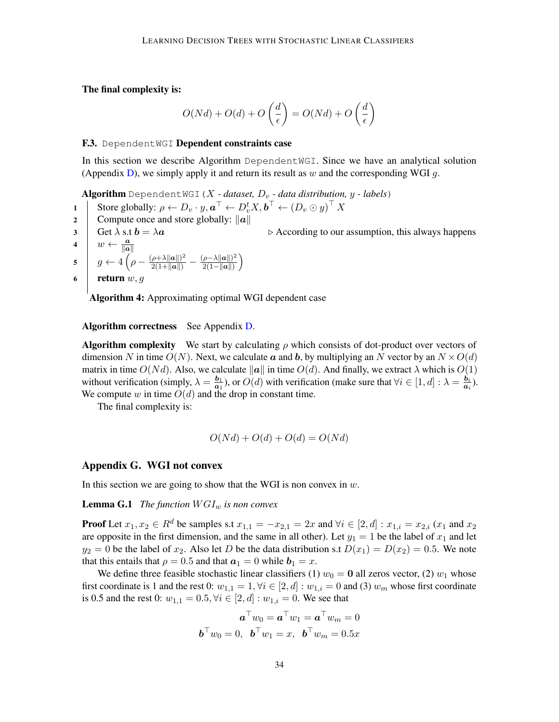The final complexity is:

$$
O(Nd) + O(d) + O\left(\frac{d}{\epsilon}\right) = O(Nd) + O\left(\frac{d}{\epsilon}\right)
$$

#### <span id="page-33-1"></span>F.3. DependentWGI Dependent constraints case

In this section we describe Algorithm DependentWGI. Since we have an analytical solution (Appendix [D\)](#page-21-0), we simply apply it and return its result as w and the corresponding WGI  $q$ .

Algorithm DependentWGI ( $X$  *- dataset,*  $D<sub>v</sub>$  *- data distribution,*  $y$  *- labels*)

1 Store globally:  $\rho \leftarrow D_v \cdot y, \boldsymbol{a}^\top \leftarrow D_v^t X, \boldsymbol{b}^\top \leftarrow (D_v \odot y)^\top X$ 

2 Compute once and store globally:  $\|\boldsymbol{a}\|$ 

3 Get  $\lambda$  s.t  $\mathbf{b} = \lambda \mathbf{a}$  . According to our assumption, this always happens

4  $\vert w \leftarrow \frac{a}{\Vert a \Vert}$ 5  $g \leftarrow 4 \left( \rho - \frac{(\rho + \lambda ||a||)^2}{2(1+||a||)} - \frac{(\rho - \lambda ||a||)^2}{2(1-||a||)} \right)$  $\frac{(\rho-\lambda\|\bm a\|)^2}{2(1-\|\bm a\|)}$ 

6 | return 
$$
w, g
$$

Algorithm 4: Approximating optimal WGI dependent case

#### Algorithm correctness See Appendix [D.](#page-21-0)

**Algorithm complexity** We start by calculating  $\rho$  which consists of dot-product over vectors of dimension N in time  $O(N)$ . Next, we calculate a and b, by multiplying an N vector by an  $N \times O(d)$ matrix in time  $O(Nd)$ . Also, we calculate  $\|\mathbf{a}\|$  in time  $O(d)$ . And finally, we extract  $\lambda$  which is  $O(1)$ without verification (simply,  $\lambda = \frac{b_1}{a_1}$  $\frac{b_1}{a_1}$ ), or  $O(d)$  with verification (make sure that  $\forall i \in [1, d] : \lambda = \frac{b_i}{a_i}$  $\frac{\bm{b}_i}{\bm{a}_i}).$ We compute w in time  $O(d)$  and the drop in constant time.

The final complexity is:

$$
O(Nd) + O(d) + O(d) = O(Nd)
$$

# <span id="page-33-0"></span>Appendix G. WGI not convex

In this section we are going to show that the WGI is non convex in  $w$ .

**Lemma G.1** *The function*  $WGI_w$  *is non convex* 

**Proof** Let  $x_1, x_2 \in R^d$  be samples s.t  $x_{1,1} = -x_{2,1} = 2x$  and  $\forall i \in [2, d] : x_{1,i} = x_{2,i}$  ( $x_1$  and  $x_2$ ) are opposite in the first dimension, and the same in all other). Let  $y_1 = 1$  be the label of  $x_1$  and let  $y_2 = 0$  be the label of  $x_2$ . Also let D be the data distribution s.t  $D(x_1) = D(x_2) = 0.5$ . We note that this entails that  $\rho = 0.5$  and that  $a_1 = 0$  while  $b_1 = x$ .

We define three feasible stochastic linear classifiers (1)  $w_0 = 0$  all zeros vector, (2)  $w_1$  whose first coordinate is 1 and the rest 0:  $w_{1,1} = 1, \forall i \in [2, d] : w_{1,i} = 0$  and (3)  $w_m$  whose first coordinate is 0.5 and the rest 0:  $w_{1,1} = 0.5, \forall i \in [2, d] : w_{1,i} = 0$ . We see that

$$
\mathbf{a}^{\top}w_0 = \mathbf{a}^{\top}w_1 = \mathbf{a}^{\top}w_m = 0
$$

$$
\mathbf{b}^{\top}w_0 = 0, \ \mathbf{b}^{\top}w_1 = x, \ \mathbf{b}^{\top}w_m = 0.5x
$$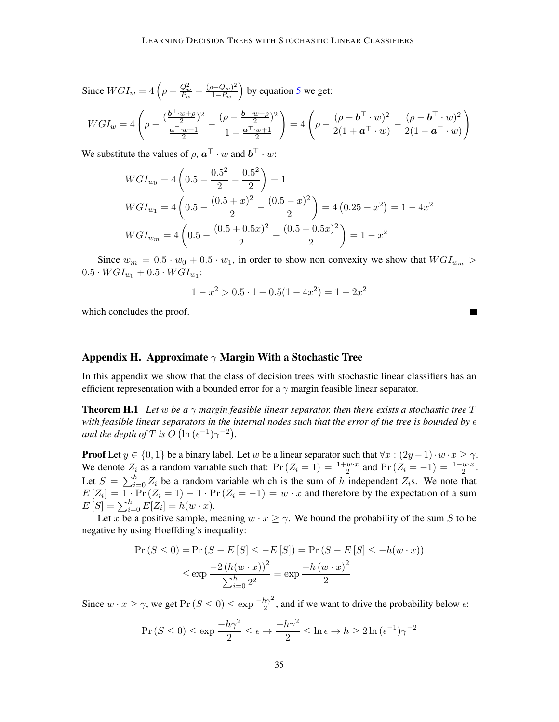Since  $WGI_w = 4\left(\rho - \frac{Q_w^2}{P_w} - \frac{(\rho - Q_w)^2}{1 - P_w}\right)$  $\frac{(p- Q_w)^2}{1-P_w}$  by equation [5](#page-5-2) we get:

$$
WGI_w = 4\left(\rho - \frac{(\frac{b^{\top} \cdot w + \rho}{2})^2}{\frac{a^{\top} \cdot w + 1}{2}} - \frac{(\rho - \frac{b^{\top} \cdot w + \rho}{2})^2}{1 - \frac{a^{\top} \cdot w + 1}{2}}\right) = 4\left(\rho - \frac{(\rho + b^{\top} \cdot w)^2}{2(1 + a^{\top} \cdot w)} - \frac{(\rho - b^{\top} \cdot w)^2}{2(1 - a^{\top} \cdot w)}\right)
$$

We substitute the values of  $\rho$ ,  $\mathbf{a}^\top \cdot w$  and  $\mathbf{b}^\top \cdot w$ :

$$
WGI_{w_0} = 4\left(0.5 - \frac{0.5^2}{2} - \frac{0.5^2}{2}\right) = 1
$$
  
\n
$$
WGI_{w_1} = 4\left(0.5 - \frac{(0.5 + x)^2}{2} - \frac{(0.5 - x)^2}{2}\right) = 4\left(0.25 - x^2\right) = 1 - 4x^2
$$
  
\n
$$
WGI_{w_m} = 4\left(0.5 - \frac{(0.5 + 0.5x)^2}{2} - \frac{(0.5 - 0.5x)^2}{2}\right) = 1 - x^2
$$

Since  $w_m = 0.5 \cdot w_0 + 0.5 \cdot w_1$ , in order to show non convexity we show that  $WGL_{w_m}$  $0.5 \cdot WGI_{w_0} + 0.5 \cdot WGI_{w_1}$ :

$$
1 - x^2 > 0.5 \cdot 1 + 0.5(1 - 4x^2) = 1 - 2x^2
$$

which concludes the proof.

## <span id="page-34-0"></span>Appendix H. Approximate  $\gamma$  Margin With a Stochastic Tree

In this appendix we show that the class of decision trees with stochastic linear classifiers has an efficient representation with a bounded error for a  $\gamma$  margin feasible linear separator.

**Theorem H.1** Let w be a  $\gamma$  margin feasible linear separator, then there exists a stochastic tree T with feasible linear separators in the internal nodes such that the error of the tree is bounded by  $\epsilon$ *and the depth of*  $T$  *is*  $O(\ln{(\epsilon^{-1})\gamma^{-2}})$ *.* 

**Proof** Let  $y \in \{0, 1\}$  be a binary label. Let w be a linear separator such that  $\forall x : (2y - 1) \cdot w \cdot x \ge \gamma$ . We denote  $Z_i$  as a random variable such that:  $Pr(Z_i = 1) = \frac{1 + w \cdot x}{2}$  and  $Pr(Z_i = -1) = \frac{1 - w \cdot x}{2}$ . Let  $S = \sum_{i=0}^{h} Z_i$  be a random variable which is the sum of h independent  $Z_i$ s. We note that  $E[Z_i] = 1 \cdot \Pr(Z_i = 1) - 1 \cdot \Pr(Z_i = -1) = w \cdot x$  and therefore by the expectation of a sum  $E[S] = \sum_{i=0}^{h} E[Z_i] = h(w \cdot x).$ 

Let x be a positive sample, meaning  $w \cdot x \ge \gamma$ . We bound the probability of the sum S to be negative by using Hoeffding's inequality:

$$
\Pr(S \le 0) = \Pr(S - E[S] \le -E[S]) = \Pr(S - E[S] \le -h(w \cdot x))
$$

$$
\le \exp \frac{-2(h(w \cdot x))^2}{\sum_{i=0}^h 2^2} = \exp \frac{-h(w \cdot x)^2}{2}
$$

Since  $w \cdot x \ge \gamma$ , we get  $Pr(S \le 0) \le exp \frac{-h\gamma^2}{2}$  $\frac{n\gamma^2}{2}$ , and if we want to drive the probability below  $\epsilon$ :

$$
\Pr(S \le 0) \le \exp\frac{-h\gamma^2}{2} \le \epsilon \to \frac{-h\gamma^2}{2} \le \ln \epsilon \to h \ge 2\ln(\epsilon^{-1})\gamma^{-2}
$$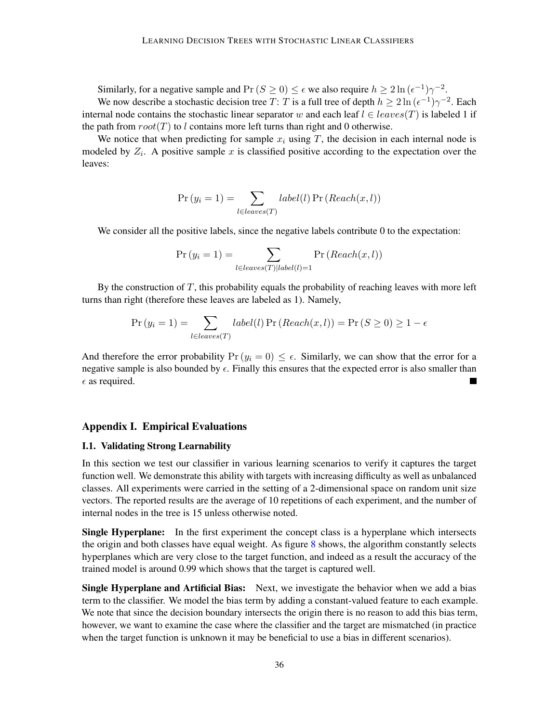Similarly, for a negative sample and  $Pr(S \ge 0) \le \epsilon$  we also require  $h \ge 2 \ln{(\epsilon^{-1}) \gamma^{-2}}$ . We now describe a stochastic decision tree T: T is a full tree of depth  $h \ge 2 \ln{(\epsilon^{-1}) \gamma^{-2}}$ . Each internal node contains the stochastic linear separator w and each leaf  $l \in leaves(T)$  is labeled 1 if the path from  $root(T)$  to l contains more left turns than right and 0 otherwise.

We notice that when predicting for sample  $x_i$  using T, the decision in each internal node is modeled by  $Z_i$ . A positive sample x is classified positive according to the expectation over the leaves:

$$
Pr(y_i = 1) = \sum_{l \in leaves(T)} label(l) Pr(Reach(x, l))
$$

We consider all the positive labels, since the negative labels contribute 0 to the expectation:

$$
Pr(y_i = 1) = \sum_{l \in leaves(T)|label(l)=1} Pr(Reach(x, l))
$$

By the construction of T, this probability equals the probability of reaching leaves with more left turns than right (therefore these leaves are labeled as 1). Namely,

$$
Pr(y_i = 1) = \sum_{l \in leaves(T)} label(l) Pr(Reach(x, l)) = Pr(S \ge 0) \ge 1 - \epsilon
$$

And therefore the error probability  $Pr(y_i = 0) \le \epsilon$ . Similarly, we can show that the error for a negative sample is also bounded by  $\epsilon$ . Finally this ensures that the expected error is also smaller than  $\epsilon$  as required.

## <span id="page-35-0"></span>Appendix I. Empirical Evaluations

### I.1. Validating Strong Learnability

In this section we test our classifier in various learning scenarios to verify it captures the target function well. We demonstrate this ability with targets with increasing difficulty as well as unbalanced classes. All experiments were carried in the setting of a 2-dimensional space on random unit size vectors. The reported results are the average of 10 repetitions of each experiment, and the number of internal nodes in the tree is 15 unless otherwise noted.

Single Hyperplane: In the first experiment the concept class is a hyperplane which intersects the origin and both classes have equal weight. As figure [8](#page-36-0) shows, the algorithm constantly selects hyperplanes which are very close to the target function, and indeed as a result the accuracy of the trained model is around 0.99 which shows that the target is captured well.

Single Hyperplane and Artificial Bias: Next, we investigate the behavior when we add a bias term to the classifier. We model the bias term by adding a constant-valued feature to each example. We note that since the decision boundary intersects the origin there is no reason to add this bias term, however, we want to examine the case where the classifier and the target are mismatched (in practice when the target function is unknown it may be beneficial to use a bias in different scenarios).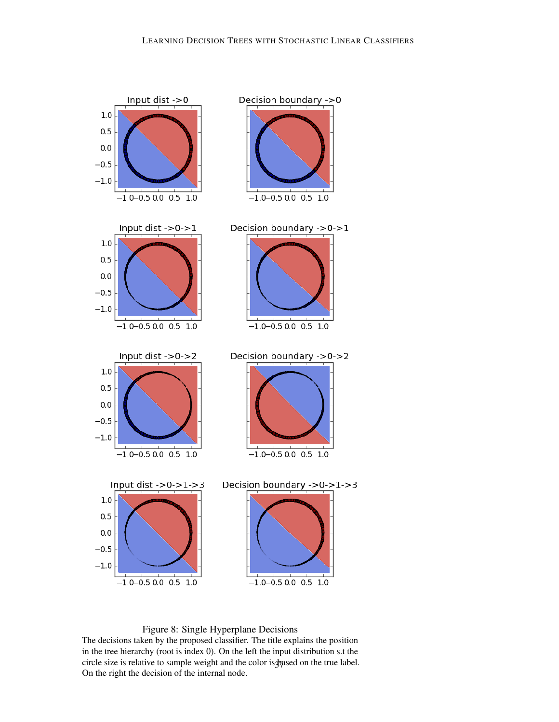

<span id="page-36-0"></span>Figure 8: Single Hyperplane Decisions

The decisions taken by the proposed classifier. The title explains the position in the tree hierarchy (root is index 0). On the left the input distribution s.t the circle size is relative to sample weight and the color is  $\frac{1}{2}$  and the true label. On the right the decision of the internal node.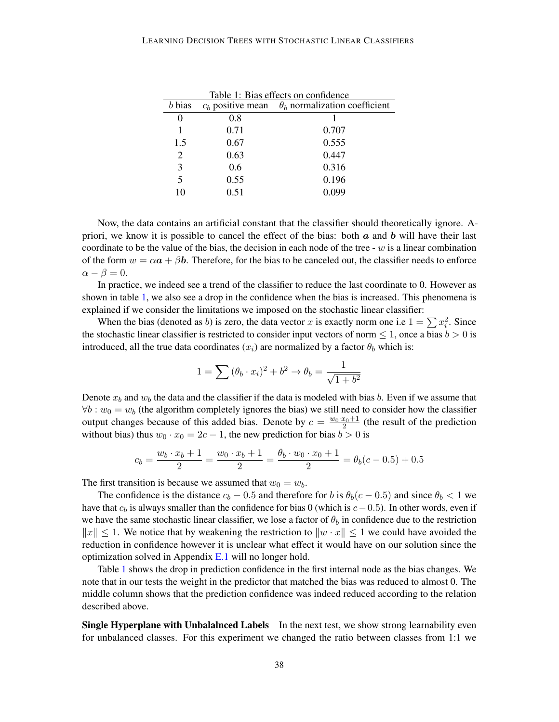<span id="page-37-0"></span>

| Table 1: Bias effects on confidence |      |                                                          |  |
|-------------------------------------|------|----------------------------------------------------------|--|
| $b$ bias                            |      | $c_b$ positive mean $\theta_b$ normalization coefficient |  |
| 0                                   | 0.8  |                                                          |  |
|                                     | 0.71 | 0.707                                                    |  |
| 1.5                                 | 0.67 | 0.555                                                    |  |
| $\overline{c}$                      | 0.63 | 0.447                                                    |  |
| 3                                   | 0.6  | 0.316                                                    |  |
| 5                                   | 0.55 | 0.196                                                    |  |
| 10                                  | 0.51 |                                                          |  |

Now, the data contains an artificial constant that the classifier should theoretically ignore. Apriori, we know it is possible to cancel the effect of the bias: both  $\alpha$  and  $\dot{b}$  will have their last coordinate to be the value of the bias, the decision in each node of the tree -  $w$  is a linear combination of the form  $w = \alpha a + \beta b$ . Therefore, for the bias to be canceled out, the classifier needs to enforce  $\alpha - \beta = 0.$ 

In practice, we indeed see a trend of the classifier to reduce the last coordinate to 0. However as shown in table [1,](#page-37-0) we also see a drop in the confidence when the bias is increased. This phenomena is explained if we consider the limitations we imposed on the stochastic linear classifier:

When the bias (denoted as b) is zero, the data vector x is exactly norm one i.e  $1 = \sum x_i^2$ . Since the stochastic linear classifier is restricted to consider input vectors of norm  $\leq 1$ , once a bias  $b > 0$  is introduced, all the true data coordinates  $(x_i)$  are normalized by a factor  $\theta_b$  which is:

$$
1 = \sum (\theta_b \cdot x_i)^2 + b^2 \rightarrow \theta_b = \frac{1}{\sqrt{1 + b^2}}
$$

Denote  $x_b$  and  $w_b$  the data and the classifier if the data is modeled with bias b. Even if we assume that  $\forall b : w_0 = w_b$  (the algorithm completely ignores the bias) we still need to consider how the classifier output changes because of this added bias. Denote by  $c = \frac{w_0 \cdot x_0 + 1}{2}$  (the result of the prediction without bias) thus  $w_0 \cdot x_0 = 2c - 1$ , the new prediction for bias  $b > 0$  is

$$
c_b = \frac{w_b \cdot x_b + 1}{2} = \frac{w_0 \cdot x_b + 1}{2} = \frac{\theta_b \cdot w_0 \cdot x_0 + 1}{2} = \theta_b(c - 0.5) + 0.5
$$

The first transition is because we assumed that  $w_0 = w_b$ .

The confidence is the distance  $c_b - 0.5$  and therefore for b is  $\theta_b(c - 0.5)$  and since  $\theta_b < 1$  we have that  $c<sub>b</sub>$  is always smaller than the confidence for bias 0 (which is  $c-0.5$ ). In other words, even if we have the same stochastic linear classifier, we lose a factor of  $\theta_b$  in confidence due to the restriction  $||x||$  ≤ 1. We notice that by weakening the restriction to  $||w \cdot x||$  ≤ 1 we could have avoided the reduction in confidence however it is unclear what effect it would have on our solution since the optimization solved in Appendix [E.1](#page-22-1) will no longer hold.

Table [1](#page-37-0) shows the drop in prediction confidence in the first internal node as the bias changes. We note that in our tests the weight in the predictor that matched the bias was reduced to almost 0. The middle column shows that the prediction confidence was indeed reduced according to the relation described above.

Single Hyperplane with Unbalalnced Labels In the next test, we show strong learnability even for unbalanced classes. For this experiment we changed the ratio between classes from 1:1 we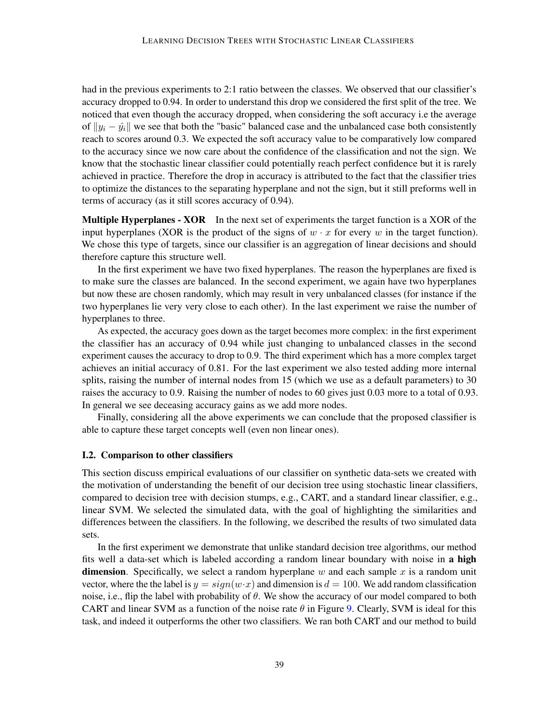had in the previous experiments to 2:1 ratio between the classes. We observed that our classifier's accuracy dropped to 0.94. In order to understand this drop we considered the first split of the tree. We noticed that even though the accuracy dropped, when considering the soft accuracy i.e the average of  $||y_i - \hat{y_i}||$  we see that both the "basic" balanced case and the unbalanced case both consistently reach to scores around 0.3. We expected the soft accuracy value to be comparatively low compared to the accuracy since we now care about the confidence of the classification and not the sign. We know that the stochastic linear classifier could potentially reach perfect confidence but it is rarely achieved in practice. Therefore the drop in accuracy is attributed to the fact that the classifier tries to optimize the distances to the separating hyperplane and not the sign, but it still preforms well in terms of accuracy (as it still scores accuracy of 0.94).

Multiple Hyperplanes - XOR In the next set of experiments the target function is a XOR of the input hyperplanes (XOR is the product of the signs of  $w \cdot x$  for every w in the target function). We chose this type of targets, since our classifier is an aggregation of linear decisions and should therefore capture this structure well.

In the first experiment we have two fixed hyperplanes. The reason the hyperplanes are fixed is to make sure the classes are balanced. In the second experiment, we again have two hyperplanes but now these are chosen randomly, which may result in very unbalanced classes (for instance if the two hyperplanes lie very very close to each other). In the last experiment we raise the number of hyperplanes to three.

As expected, the accuracy goes down as the target becomes more complex: in the first experiment the classifier has an accuracy of 0.94 while just changing to unbalanced classes in the second experiment causes the accuracy to drop to 0.9. The third experiment which has a more complex target achieves an initial accuracy of 0.81. For the last experiment we also tested adding more internal splits, raising the number of internal nodes from 15 (which we use as a default parameters) to 30 raises the accuracy to 0.9. Raising the number of nodes to 60 gives just 0.03 more to a total of 0.93. In general we see deceasing accuracy gains as we add more nodes.

Finally, considering all the above experiments we can conclude that the proposed classifier is able to capture these target concepts well (even non linear ones).

## I.2. Comparison to other classifiers

This section discuss empirical evaluations of our classifier on synthetic data-sets we created with the motivation of understanding the benefit of our decision tree using stochastic linear classifiers, compared to decision tree with decision stumps, e.g., CART, and a standard linear classifier, e.g., linear SVM. We selected the simulated data, with the goal of highlighting the similarities and differences between the classifiers. In the following, we described the results of two simulated data sets.

In the first experiment we demonstrate that unlike standard decision tree algorithms, our method fits well a data-set which is labeled according a random linear boundary with noise in a high **dimension**. Specifically, we select a random hyperplane w and each sample x is a random unit vector, where the the label is  $y = sign(w \cdot x)$  and dimension is  $d = 100$ . We add random classification noise, i.e., flip the label with probability of  $\theta$ . We show the accuracy of our model compared to both CART and linear SVM as a function of the noise rate  $\theta$  in Figure [9.](#page-39-1) Clearly, SVM is ideal for this task, and indeed it outperforms the other two classifiers. We ran both CART and our method to build